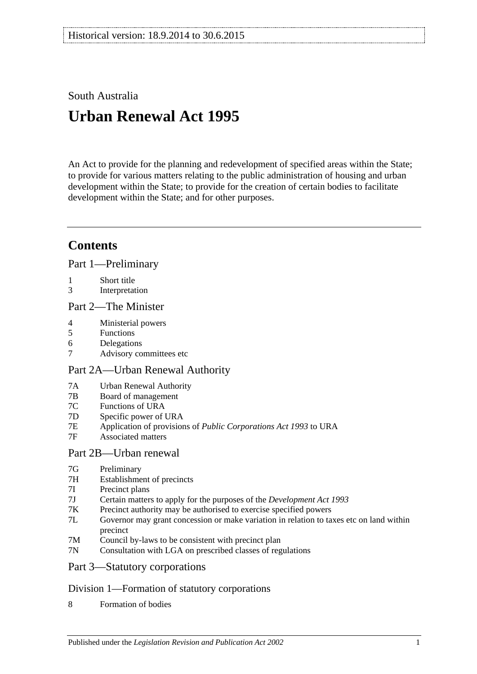South Australia

# **Urban Renewal Act 1995**

An Act to provide for the planning and redevelopment of specified areas within the State; to provide for various matters relating to the public administration of housing and urban development within the State; to provide for the creation of certain bodies to facilitate development within the State; and for other purposes.

## **Contents**

[Part 1—Preliminary](#page-2-0)

- 1 [Short title](#page-2-1)
- 3 [Interpretation](#page-2-2)

#### [Part 2—The Minister](#page-3-0)

- 4 [Ministerial powers](#page-3-1)
- 5 [Functions](#page-4-0)
- 6 [Delegations](#page-5-0)
- 7 [Advisory committees etc](#page-5-1)

### [Part 2A—Urban Renewal Authority](#page-5-2)

- 7A [Urban Renewal Authority](#page-5-3)
- 7B [Board of management](#page-5-4)
- 7C [Functions of URA](#page-6-0)
- 7D [Specific power of URA](#page-7-0)
- 7E [Application of provisions of](#page-7-1) *Public Corporations Act 1993* to URA
- 7F [Associated matters](#page-7-2)

#### [Part 2B—Urban renewal](#page-7-3)

- 7G [Preliminary](#page-7-4)
- 7H [Establishment of precincts](#page-8-0)
- 7I [Precinct plans](#page-11-0)
- 7J [Certain matters to apply for the purposes of the](#page-15-0) *Development Act 1993*
- 7K [Precinct authority may be authorised to exercise specified powers](#page-15-1)
- 7L [Governor may grant concession or make variation in relation to taxes etc on land within](#page-17-0)  [precinct](#page-17-0)
- 7M [Council by-laws to be consistent with precinct plan](#page-17-1)
- 7N [Consultation with LGA on prescribed classes of regulations](#page-17-2)

#### [Part 3—Statutory corporations](#page-18-0)

#### [Division 1—Formation of statutory corporations](#page-18-1)

8 [Formation of bodies](#page-18-2)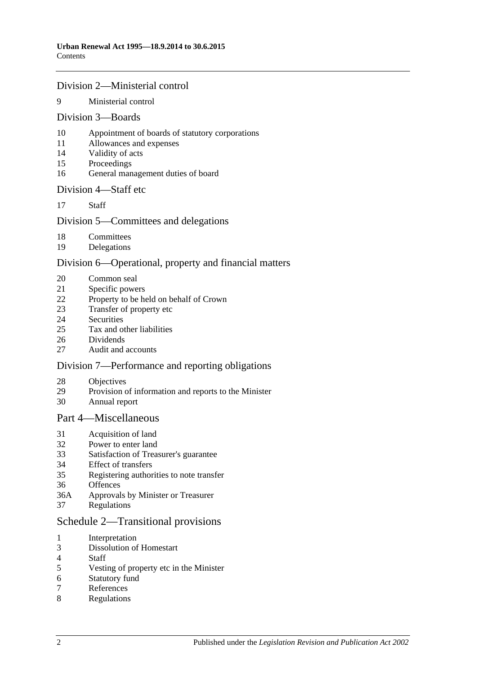#### [Division 2—Ministerial control](#page-19-0)

#### [Ministerial control](#page-19-1)

#### [Division 3—Boards](#page-19-2)

- [Appointment of boards of statutory corporations](#page-19-3)
- [Allowances and expenses](#page-20-0)
- [Validity of acts](#page-20-1)
- [Proceedings](#page-20-2)
- [General management duties of board](#page-21-0)

#### [Division 4—Staff etc](#page-21-1)

[Staff](#page-21-2)

#### [Division 5—Committees and delegations](#page-22-0)

- [Committees](#page-22-1)
- [Delegations](#page-22-2)

#### [Division 6—Operational, property and financial matters](#page-22-3)

- [Common seal](#page-22-4)
- [Specific powers](#page-23-0)
- [Property to be held on behalf of Crown](#page-23-1)
- [Transfer of property etc](#page-23-2)
- [Securities](#page-24-0)<br>25 Tax and o
- [Tax and other liabilities](#page-24-1)
- [Dividends](#page-25-0)<br>27 Audit and
- [Audit and accounts](#page-26-0)

#### [Division 7—Performance and reporting obligations](#page-26-1)

- [Objectives](#page-26-2)
- [Provision of information and reports to the Minister](#page-26-3)
- [Annual report](#page-27-0)

#### [Part 4—Miscellaneous](#page-27-1)

- [Acquisition of land](#page-27-2)<br>32 Power to enter land
- [Power to enter land](#page-27-3)
- [Satisfaction of Treasurer's guarantee](#page-27-4)
- [Effect of transfers](#page-27-5)
- [Registering authorities to note transfer](#page-27-6)
- [Offences](#page-28-0)
- 36A [Approvals by Minister or Treasurer](#page-28-1)
- [Regulations](#page-28-2)

#### [Schedule 2—Transitional provisions](#page-29-0)

- [Interpretation](#page-29-1)
- [Dissolution of Homestart](#page-29-2)
- [Staff](#page-29-3)<br>5 Vesti
- [Vesting of property etc in the Minister](#page-29-4)
- [Statutory fund](#page-30-0)
- [References](#page-30-1)
- [Regulations](#page-30-2)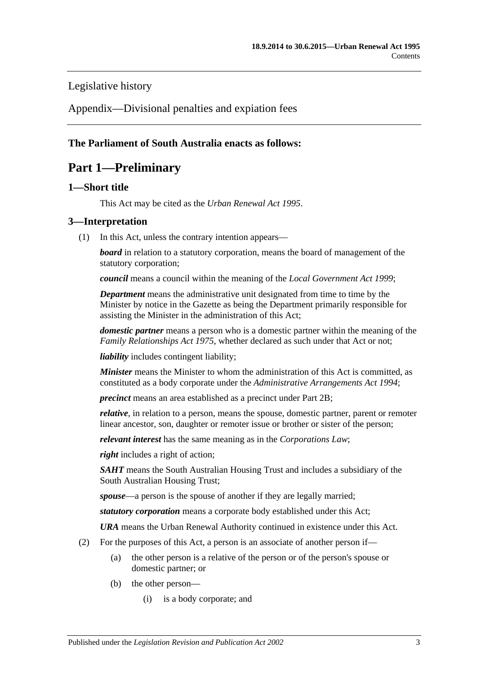#### [Legislative history](#page-31-0)

[Appendix—Divisional penalties and expiation fees](#page-34-0)

#### <span id="page-2-0"></span>**The Parliament of South Australia enacts as follows:**

## **Part 1—Preliminary**

#### <span id="page-2-1"></span>**1—Short title**

This Act may be cited as the *Urban Renewal Act 1995*.

#### <span id="page-2-2"></span>**3—Interpretation**

(1) In this Act, unless the contrary intention appears—

*board* in relation to a statutory corporation, means the board of management of the statutory corporation;

*council* means a council within the meaning of the *[Local Government Act](http://www.legislation.sa.gov.au/index.aspx?action=legref&type=act&legtitle=Local%20Government%20Act%201999) 1999*;

*Department* means the administrative unit designated from time to time by the Minister by notice in the Gazette as being the Department primarily responsible for assisting the Minister in the administration of this Act;

*domestic partner* means a person who is a domestic partner within the meaning of the *[Family Relationships Act](http://www.legislation.sa.gov.au/index.aspx?action=legref&type=act&legtitle=Family%20Relationships%20Act%201975) 1975*, whether declared as such under that Act or not;

*liability* includes contingent liability;

*Minister* means the Minister to whom the administration of this Act is committed, as constituted as a body corporate under the *Administrative [Arrangements Act](http://www.legislation.sa.gov.au/index.aspx?action=legref&type=act&legtitle=Administrative%20Arrangements%20Act%201994) 1994*;

*precinct* means an area established as a precinct under [Part 2B;](#page-7-3)

*relative*, in relation to a person, means the spouse, domestic partner, parent or remoter linear ancestor, son, daughter or remoter issue or brother or sister of the person;

*relevant interest* has the same meaning as in the *Corporations Law*;

*right* includes a right of action;

*SAHT* means the South Australian Housing Trust and includes a subsidiary of the South Australian Housing Trust;

*spouse*—a person is the spouse of another if they are legally married;

*statutory corporation* means a corporate body established under this Act;

*URA* means the Urban Renewal Authority continued in existence under this Act.

- <span id="page-2-3"></span>(2) For the purposes of this Act, a person is an associate of another person if—
	- (a) the other person is a relative of the person or of the person's spouse or domestic partner; or
	- (b) the other person—
		- (i) is a body corporate; and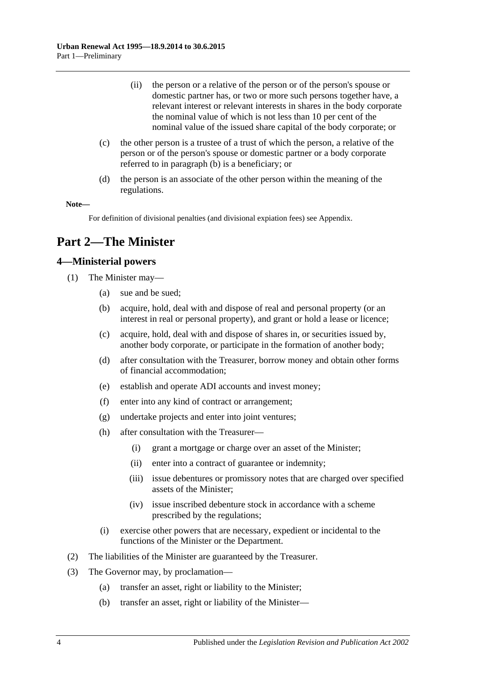- (ii) the person or a relative of the person or of the person's spouse or domestic partner has, or two or more such persons together have, a relevant interest or relevant interests in shares in the body corporate the nominal value of which is not less than 10 per cent of the nominal value of the issued share capital of the body corporate; or
- (c) the other person is a trustee of a trust of which the person, a relative of the person or of the person's spouse or domestic partner or a body corporate referred to in [paragraph](#page-2-3) (b) is a beneficiary; or
- (d) the person is an associate of the other person within the meaning of the regulations.

#### **Note—**

For definition of divisional penalties (and divisional expiation fees) see Appendix.

## <span id="page-3-0"></span>**Part 2—The Minister**

#### <span id="page-3-1"></span>**4—Ministerial powers**

- (1) The Minister may—
	- (a) sue and be sued;
	- (b) acquire, hold, deal with and dispose of real and personal property (or an interest in real or personal property), and grant or hold a lease or licence;
	- (c) acquire, hold, deal with and dispose of shares in, or securities issued by, another body corporate, or participate in the formation of another body;
	- (d) after consultation with the Treasurer, borrow money and obtain other forms of financial accommodation;
	- (e) establish and operate ADI accounts and invest money;
	- (f) enter into any kind of contract or arrangement;
	- (g) undertake projects and enter into joint ventures;
	- (h) after consultation with the Treasurer—
		- (i) grant a mortgage or charge over an asset of the Minister;
		- (ii) enter into a contract of guarantee or indemnity;
		- (iii) issue debentures or promissory notes that are charged over specified assets of the Minister;
		- (iv) issue inscribed debenture stock in accordance with a scheme prescribed by the regulations;
	- (i) exercise other powers that are necessary, expedient or incidental to the functions of the Minister or the Department.
- (2) The liabilities of the Minister are guaranteed by the Treasurer.
- <span id="page-3-2"></span>(3) The Governor may, by proclamation—
	- (a) transfer an asset, right or liability to the Minister;
	- (b) transfer an asset, right or liability of the Minister—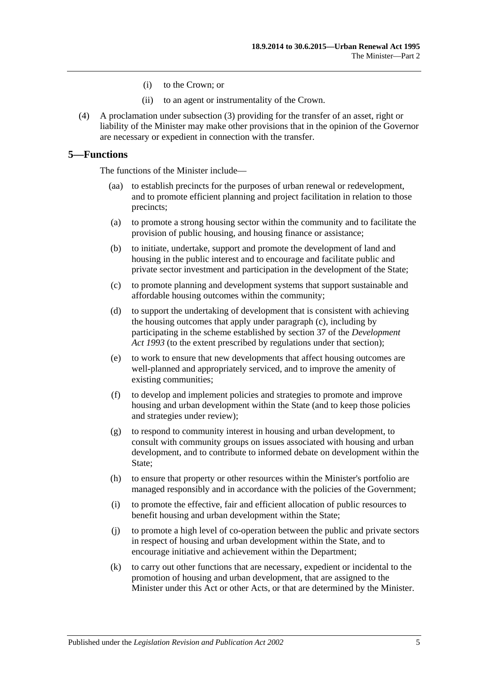- (i) to the Crown; or
- (ii) to an agent or instrumentality of the Crown.
- (4) A proclamation under [subsection](#page-3-2) (3) providing for the transfer of an asset, right or liability of the Minister may make other provisions that in the opinion of the Governor are necessary or expedient in connection with the transfer.

#### <span id="page-4-0"></span>**5—Functions**

The functions of the Minister include—

- to establish precincts for the purposes of urban renewal or redevelopment, and to promote efficient planning and project facilitation in relation to those precincts;
- (a) to promote a strong housing sector within the community and to facilitate the provision of public housing, and housing finance or assistance;
- (b) to initiate, undertake, support and promote the development of land and housing in the public interest and to encourage and facilitate public and private sector investment and participation in the development of the State;
- <span id="page-4-1"></span>(c) to promote planning and development systems that support sustainable and affordable housing outcomes within the community;
- (d) to support the undertaking of development that is consistent with achieving the housing outcomes that apply under [paragraph](#page-4-1) (c), including by participating in the scheme established by section 37 of the *[Development](http://www.legislation.sa.gov.au/index.aspx?action=legref&type=act&legtitle=Development%20Act%201993)  Act [1993](http://www.legislation.sa.gov.au/index.aspx?action=legref&type=act&legtitle=Development%20Act%201993)* (to the extent prescribed by regulations under that section);
- (e) to work to ensure that new developments that affect housing outcomes are well-planned and appropriately serviced, and to improve the amenity of existing communities;
- (f) to develop and implement policies and strategies to promote and improve housing and urban development within the State (and to keep those policies and strategies under review);
- (g) to respond to community interest in housing and urban development, to consult with community groups on issues associated with housing and urban development, and to contribute to informed debate on development within the State;
- (h) to ensure that property or other resources within the Minister's portfolio are managed responsibly and in accordance with the policies of the Government;
- (i) to promote the effective, fair and efficient allocation of public resources to benefit housing and urban development within the State;
- (j) to promote a high level of co-operation between the public and private sectors in respect of housing and urban development within the State, and to encourage initiative and achievement within the Department;
- (k) to carry out other functions that are necessary, expedient or incidental to the promotion of housing and urban development, that are assigned to the Minister under this Act or other Acts, or that are determined by the Minister.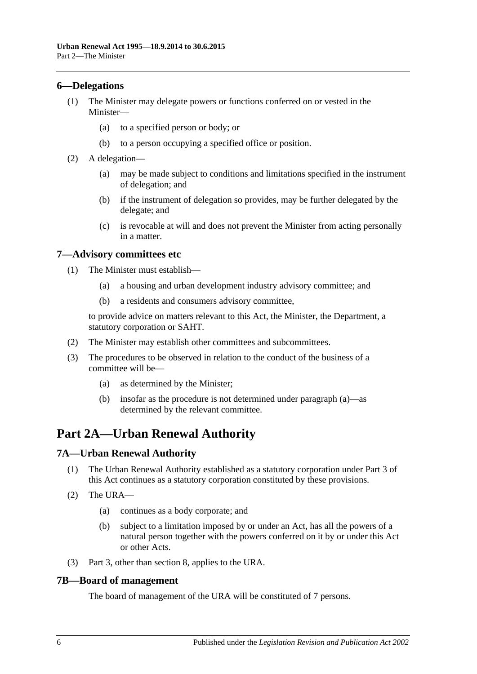#### <span id="page-5-0"></span>**6—Delegations**

- (1) The Minister may delegate powers or functions conferred on or vested in the Minister—
	- (a) to a specified person or body; or
	- (b) to a person occupying a specified office or position.
- (2) A delegation—
	- (a) may be made subject to conditions and limitations specified in the instrument of delegation; and
	- (b) if the instrument of delegation so provides, may be further delegated by the delegate; and
	- (c) is revocable at will and does not prevent the Minister from acting personally in a matter.

#### <span id="page-5-1"></span>**7—Advisory committees etc**

- (1) The Minister must establish—
	- (a) a housing and urban development industry advisory committee; and
	- (b) a residents and consumers advisory committee,

to provide advice on matters relevant to this Act, the Minister, the Department, a statutory corporation or SAHT.

- (2) The Minister may establish other committees and subcommittees.
- <span id="page-5-5"></span>(3) The procedures to be observed in relation to the conduct of the business of a committee will be—
	- (a) as determined by the Minister;
	- (b) insofar as the procedure is not determined under [paragraph](#page-5-5) (a)—as determined by the relevant committee.

## <span id="page-5-2"></span>**Part 2A—Urban Renewal Authority**

#### <span id="page-5-3"></span>**7A—Urban Renewal Authority**

- (1) The Urban Renewal Authority established as a statutory corporation under [Part 3](#page-18-0) of this Act continues as a statutory corporation constituted by these provisions.
- (2) The URA—
	- (a) continues as a body corporate; and
	- (b) subject to a limitation imposed by or under an Act, has all the powers of a natural person together with the powers conferred on it by or under this Act or other Acts.
- (3) [Part 3,](#page-18-0) other than [section](#page-18-2) 8, applies to the URA.

#### <span id="page-5-4"></span>**7B—Board of management**

The board of management of the URA will be constituted of 7 persons.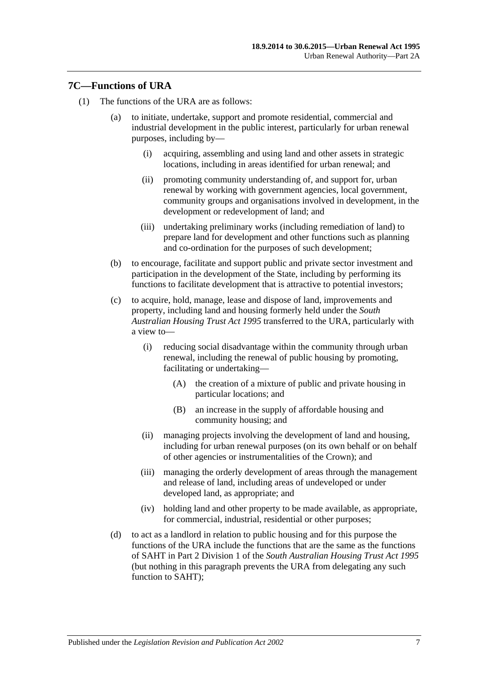#### <span id="page-6-0"></span>**7C—Functions of URA**

- (1) The functions of the URA are as follows:
	- (a) to initiate, undertake, support and promote residential, commercial and industrial development in the public interest, particularly for urban renewal purposes, including by—
		- (i) acquiring, assembling and using land and other assets in strategic locations, including in areas identified for urban renewal; and
		- (ii) promoting community understanding of, and support for, urban renewal by working with government agencies, local government, community groups and organisations involved in development, in the development or redevelopment of land; and
		- (iii) undertaking preliminary works (including remediation of land) to prepare land for development and other functions such as planning and co-ordination for the purposes of such development;
	- (b) to encourage, facilitate and support public and private sector investment and participation in the development of the State, including by performing its functions to facilitate development that is attractive to potential investors;
	- (c) to acquire, hold, manage, lease and dispose of land, improvements and property, including land and housing formerly held under the *[South](http://www.legislation.sa.gov.au/index.aspx?action=legref&type=act&legtitle=South%20Australian%20Housing%20Trust%20Act%201995)  [Australian Housing Trust Act](http://www.legislation.sa.gov.au/index.aspx?action=legref&type=act&legtitle=South%20Australian%20Housing%20Trust%20Act%201995) 1995* transferred to the URA, particularly with a view to—
		- (i) reducing social disadvantage within the community through urban renewal, including the renewal of public housing by promoting, facilitating or undertaking—
			- (A) the creation of a mixture of public and private housing in particular locations; and
			- (B) an increase in the supply of affordable housing and community housing; and
		- (ii) managing projects involving the development of land and housing, including for urban renewal purposes (on its own behalf or on behalf of other agencies or instrumentalities of the Crown); and
		- (iii) managing the orderly development of areas through the management and release of land, including areas of undeveloped or under developed land, as appropriate; and
		- (iv) holding land and other property to be made available, as appropriate, for commercial, industrial, residential or other purposes;
	- (d) to act as a landlord in relation to public housing and for this purpose the functions of the URA include the functions that are the same as the functions of SAHT in Part 2 Division 1 of the *[South Australian Housing Trust Act](http://www.legislation.sa.gov.au/index.aspx?action=legref&type=act&legtitle=South%20Australian%20Housing%20Trust%20Act%201995) 1995* (but nothing in this paragraph prevents the URA from delegating any such function to SAHT);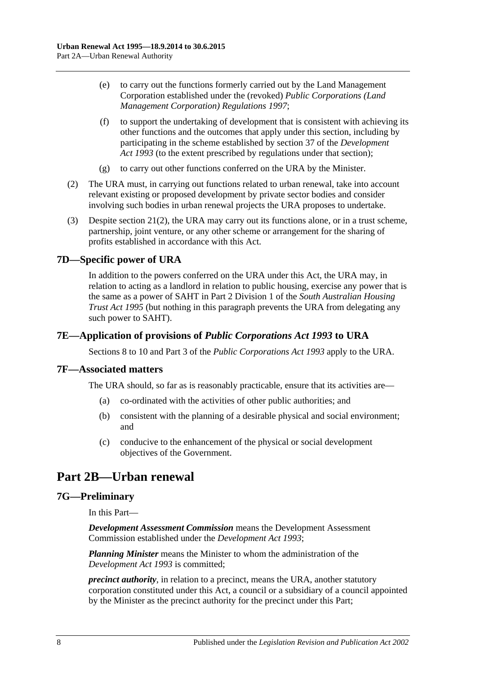- (e) to carry out the functions formerly carried out by the Land Management Corporation established under the (revoked) *[Public Corporations \(Land](http://www.legislation.sa.gov.au/index.aspx?action=legref&type=subordleg&legtitle=Public%20Corporations%20(Land%20Management%20Corporation)%20Regulations%201997)  [Management Corporation\) Regulations](http://www.legislation.sa.gov.au/index.aspx?action=legref&type=subordleg&legtitle=Public%20Corporations%20(Land%20Management%20Corporation)%20Regulations%201997) 1997*;
- (f) to support the undertaking of development that is consistent with achieving its other functions and the outcomes that apply under this section, including by participating in the scheme established by section 37 of the *[Development](http://www.legislation.sa.gov.au/index.aspx?action=legref&type=act&legtitle=Development%20Act%201993)  Act [1993](http://www.legislation.sa.gov.au/index.aspx?action=legref&type=act&legtitle=Development%20Act%201993)* (to the extent prescribed by regulations under that section);
- (g) to carry out other functions conferred on the URA by the Minister.
- (2) The URA must, in carrying out functions related to urban renewal, take into account relevant existing or proposed development by private sector bodies and consider involving such bodies in urban renewal projects the URA proposes to undertake.
- (3) Despite [section](#page-23-3) 21(2), the URA may carry out its functions alone, or in a trust scheme, partnership, joint venture, or any other scheme or arrangement for the sharing of profits established in accordance with this Act.

#### <span id="page-7-0"></span>**7D—Specific power of URA**

In addition to the powers conferred on the URA under this Act, the URA may, in relation to acting as a landlord in relation to public housing, exercise any power that is the same as a power of SAHT in Part 2 Division 1 of the *[South Australian Housing](http://www.legislation.sa.gov.au/index.aspx?action=legref&type=act&legtitle=South%20Australian%20Housing%20Trust%20Act%201995)  [Trust Act](http://www.legislation.sa.gov.au/index.aspx?action=legref&type=act&legtitle=South%20Australian%20Housing%20Trust%20Act%201995) 1995* (but nothing in this paragraph prevents the URA from delegating any such power to SAHT).

#### <span id="page-7-1"></span>**7E—Application of provisions of** *Public Corporations Act 1993* **to URA**

Sections 8 to 10 and Part 3 of the *[Public Corporations Act](http://www.legislation.sa.gov.au/index.aspx?action=legref&type=act&legtitle=Public%20Corporations%20Act%201993) 1993* apply to the URA.

#### <span id="page-7-2"></span>**7F—Associated matters**

The URA should, so far as is reasonably practicable, ensure that its activities are—

- (a) co-ordinated with the activities of other public authorities; and
- (b) consistent with the planning of a desirable physical and social environment; and
- (c) conducive to the enhancement of the physical or social development objectives of the Government.

## <span id="page-7-3"></span>**Part 2B—Urban renewal**

#### <span id="page-7-4"></span>**7G—Preliminary**

In this Part—

*Development Assessment Commission* means the Development Assessment Commission established under the *[Development Act](http://www.legislation.sa.gov.au/index.aspx?action=legref&type=act&legtitle=Development%20Act%201993) 1993*;

*Planning Minister* means the Minister to whom the administration of the *[Development Act](http://www.legislation.sa.gov.au/index.aspx?action=legref&type=act&legtitle=Development%20Act%201993) 1993* is committed;

*precinct authority*, in relation to a precinct, means the URA, another statutory corporation constituted under this Act, a council or a subsidiary of a council appointed by the Minister as the precinct authority for the precinct under this Part;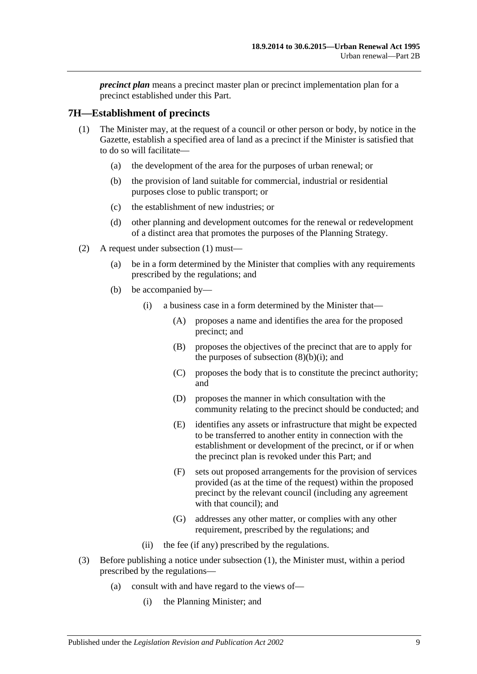*precinct plan* means a precinct master plan or precinct implementation plan for a precinct established under this Part.

#### <span id="page-8-1"></span><span id="page-8-0"></span>**7H—Establishment of precincts**

- (1) The Minister may, at the request of a council or other person or body, by notice in the Gazette, establish a specified area of land as a precinct if the Minister is satisfied that to do so will facilitate—
	- (a) the development of the area for the purposes of urban renewal; or
	- (b) the provision of land suitable for commercial, industrial or residential purposes close to public transport; or
	- (c) the establishment of new industries; or
	- (d) other planning and development outcomes for the renewal or redevelopment of a distinct area that promotes the purposes of the Planning Strategy.
- (2) A request under [subsection](#page-8-1) (1) must—
	- (a) be in a form determined by the Minister that complies with any requirements prescribed by the regulations; and
	- (b) be accompanied by—
		- (i) a business case in a form determined by the Minister that—
			- (A) proposes a name and identifies the area for the proposed precinct; and
			- (B) proposes the objectives of the precinct that are to apply for the purposes of [subsection](#page-9-0)  $(8)(b)(i)$ ; and
			- (C) proposes the body that is to constitute the precinct authority; and
			- (D) proposes the manner in which consultation with the community relating to the precinct should be conducted; and
			- (E) identifies any assets or infrastructure that might be expected to be transferred to another entity in connection with the establishment or development of the precinct, or if or when the precinct plan is revoked under this Part; and
			- (F) sets out proposed arrangements for the provision of services provided (as at the time of the request) within the proposed precinct by the relevant council (including any agreement with that council); and
			- (G) addresses any other matter, or complies with any other requirement, prescribed by the regulations; and
		- (ii) the fee (if any) prescribed by the regulations.
- (3) Before publishing a notice under [subsection](#page-8-1) (1), the Minister must, within a period prescribed by the regulations—
	- (a) consult with and have regard to the views of—
		- (i) the Planning Minister; and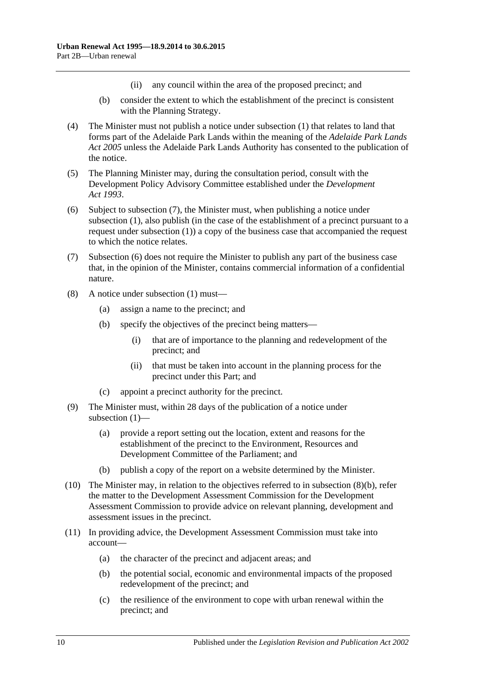- (ii) any council within the area of the proposed precinct; and
- (b) consider the extent to which the establishment of the precinct is consistent with the Planning Strategy.
- (4) The Minister must not publish a notice under [subsection](#page-8-1) (1) that relates to land that forms part of the Adelaide Park Lands within the meaning of the *[Adelaide Park Lands](http://www.legislation.sa.gov.au/index.aspx?action=legref&type=act&legtitle=Adelaide%20Park%20Lands%20Act%202005)  Act [2005](http://www.legislation.sa.gov.au/index.aspx?action=legref&type=act&legtitle=Adelaide%20Park%20Lands%20Act%202005)* unless the Adelaide Park Lands Authority has consented to the publication of the notice.
- (5) The Planning Minister may, during the consultation period, consult with the Development Policy Advisory Committee established under the *[Development](http://www.legislation.sa.gov.au/index.aspx?action=legref&type=act&legtitle=Development%20Act%201993)  Act [1993](http://www.legislation.sa.gov.au/index.aspx?action=legref&type=act&legtitle=Development%20Act%201993)*.
- <span id="page-9-2"></span>(6) Subject to [subsection](#page-9-1) (7), the Minister must, when publishing a notice under [subsection](#page-8-1) (1), also publish (in the case of the establishment of a precinct pursuant to a request under [subsection](#page-8-1) (1)) a copy of the business case that accompanied the request to which the notice relates.
- <span id="page-9-1"></span>(7) [Subsection](#page-9-2) (6) does not require the Minister to publish any part of the business case that, in the opinion of the Minister, contains commercial information of a confidential nature.
- <span id="page-9-3"></span><span id="page-9-0"></span>(8) A notice under [subsection](#page-8-1) (1) must—
	- (a) assign a name to the precinct; and
	- (b) specify the objectives of the precinct being matters—
		- (i) that are of importance to the planning and redevelopment of the precinct; and
		- (ii) that must be taken into account in the planning process for the precinct under this Part; and
	- (c) appoint a precinct authority for the precinct.
- <span id="page-9-4"></span>(9) The Minister must, within 28 days of the publication of a notice under [subsection](#page-8-1) (1)—
	- (a) provide a report setting out the location, extent and reasons for the establishment of the precinct to the Environment, Resources and Development Committee of the Parliament; and
	- (b) publish a copy of the report on a website determined by the Minister.
- (10) The Minister may, in relation to the objectives referred to in [subsection](#page-9-3) (8)(b), refer the matter to the Development Assessment Commission for the Development Assessment Commission to provide advice on relevant planning, development and assessment issues in the precinct.
- (11) In providing advice, the Development Assessment Commission must take into account—
	- (a) the character of the precinct and adjacent areas; and
	- (b) the potential social, economic and environmental impacts of the proposed redevelopment of the precinct; and
	- (c) the resilience of the environment to cope with urban renewal within the precinct; and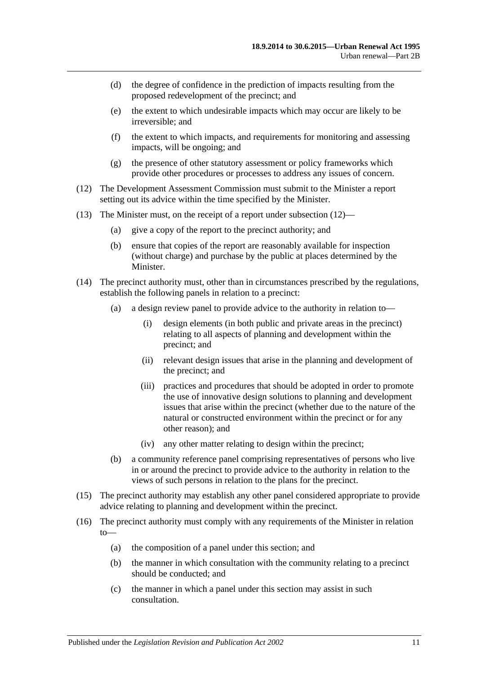- (d) the degree of confidence in the prediction of impacts resulting from the proposed redevelopment of the precinct; and
- (e) the extent to which undesirable impacts which may occur are likely to be irreversible; and
- (f) the extent to which impacts, and requirements for monitoring and assessing impacts, will be ongoing; and
- (g) the presence of other statutory assessment or policy frameworks which provide other procedures or processes to address any issues of concern.
- <span id="page-10-0"></span>(12) The Development Assessment Commission must submit to the Minister a report setting out its advice within the time specified by the Minister.
- (13) The Minister must, on the receipt of a report under [subsection](#page-10-0) (12)—
	- (a) give a copy of the report to the precinct authority; and
	- (b) ensure that copies of the report are reasonably available for inspection (without charge) and purchase by the public at places determined by the Minister.
- <span id="page-10-1"></span>(14) The precinct authority must, other than in circumstances prescribed by the regulations, establish the following panels in relation to a precinct:
	- (a) a design review panel to provide advice to the authority in relation to—
		- (i) design elements (in both public and private areas in the precinct) relating to all aspects of planning and development within the precinct; and
		- (ii) relevant design issues that arise in the planning and development of the precinct; and
		- (iii) practices and procedures that should be adopted in order to promote the use of innovative design solutions to planning and development issues that arise within the precinct (whether due to the nature of the natural or constructed environment within the precinct or for any other reason); and
		- (iv) any other matter relating to design within the precinct;
	- (b) a community reference panel comprising representatives of persons who live in or around the precinct to provide advice to the authority in relation to the views of such persons in relation to the plans for the precinct.
- (15) The precinct authority may establish any other panel considered appropriate to provide advice relating to planning and development within the precinct.
- (16) The precinct authority must comply with any requirements of the Minister in relation to—
	- (a) the composition of a panel under this section; and
	- (b) the manner in which consultation with the community relating to a precinct should be conducted; and
	- (c) the manner in which a panel under this section may assist in such consultation.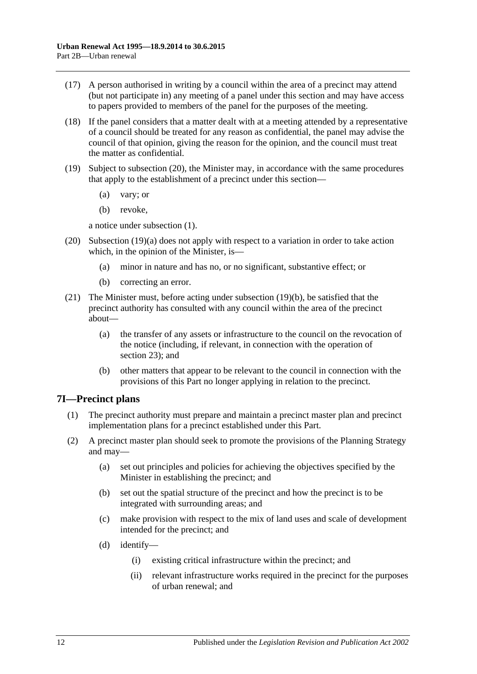- (17) A person authorised in writing by a council within the area of a precinct may attend (but not participate in) any meeting of a panel under this section and may have access to papers provided to members of the panel for the purposes of the meeting.
- (18) If the panel considers that a matter dealt with at a meeting attended by a representative of a council should be treated for any reason as confidential, the panel may advise the council of that opinion, giving the reason for the opinion, and the council must treat the matter as confidential.
- <span id="page-11-3"></span><span id="page-11-2"></span>(19) Subject to [subsection](#page-11-1) (20), the Minister may, in accordance with the same procedures that apply to the establishment of a precinct under this section—
	- (a) vary; or
	- (b) revoke,

a notice under [subsection](#page-8-1) (1).

- <span id="page-11-1"></span>(20) [Subsection](#page-11-2) (19)(a) does not apply with respect to a variation in order to take action which, in the opinion of the Minister, is—
	- (a) minor in nature and has no, or no significant, substantive effect; or
	- (b) correcting an error.
- (21) The Minister must, before acting under [subsection](#page-11-3) (19)(b), be satisfied that the precinct authority has consulted with any council within the area of the precinct about—
	- (a) the transfer of any assets or infrastructure to the council on the revocation of the notice (including, if relevant, in connection with the operation of [section](#page-23-2) 23); and
	- (b) other matters that appear to be relevant to the council in connection with the provisions of this Part no longer applying in relation to the precinct.

#### <span id="page-11-0"></span>**7I—Precinct plans**

- (1) The precinct authority must prepare and maintain a precinct master plan and precinct implementation plans for a precinct established under this Part.
- (2) A precinct master plan should seek to promote the provisions of the Planning Strategy and may—
	- (a) set out principles and policies for achieving the objectives specified by the Minister in establishing the precinct; and
	- (b) set out the spatial structure of the precinct and how the precinct is to be integrated with surrounding areas; and
	- (c) make provision with respect to the mix of land uses and scale of development intended for the precinct; and
	- (d) identify—
		- (i) existing critical infrastructure within the precinct; and
		- (ii) relevant infrastructure works required in the precinct for the purposes of urban renewal; and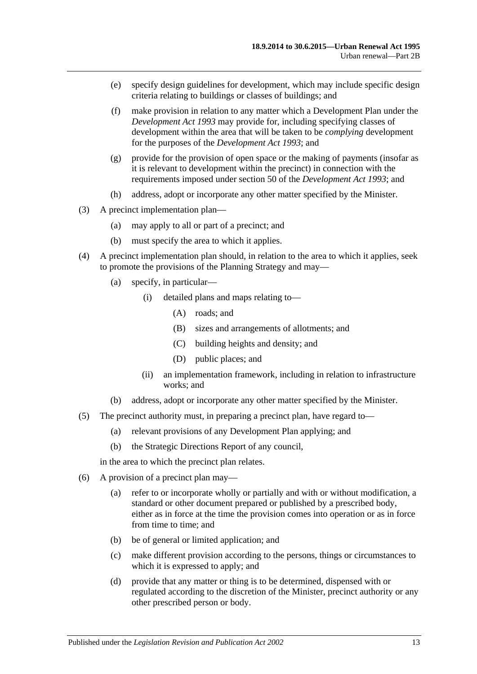- (e) specify design guidelines for development, which may include specific design criteria relating to buildings or classes of buildings; and
- <span id="page-12-0"></span>(f) make provision in relation to any matter which a Development Plan under the *[Development Act](http://www.legislation.sa.gov.au/index.aspx?action=legref&type=act&legtitle=Development%20Act%201993) 1993* may provide for, including specifying classes of development within the area that will be taken to be *complying* development for the purposes of the *[Development Act](http://www.legislation.sa.gov.au/index.aspx?action=legref&type=act&legtitle=Development%20Act%201993) 1993*; and
- <span id="page-12-1"></span>(g) provide for the provision of open space or the making of payments (insofar as it is relevant to development within the precinct) in connection with the requirements imposed under section 50 of the *[Development Act](http://www.legislation.sa.gov.au/index.aspx?action=legref&type=act&legtitle=Development%20Act%201993) 1993*; and
- (h) address, adopt or incorporate any other matter specified by the Minister.
- (3) A precinct implementation plan—
	- (a) may apply to all or part of a precinct; and
	- (b) must specify the area to which it applies.
- (4) A precinct implementation plan should, in relation to the area to which it applies, seek to promote the provisions of the Planning Strategy and may—
	- (a) specify, in particular—
		- (i) detailed plans and maps relating to—
			- (A) roads; and
			- (B) sizes and arrangements of allotments; and
			- (C) building heights and density; and
			- (D) public places; and
		- (ii) an implementation framework, including in relation to infrastructure works; and
	- (b) address, adopt or incorporate any other matter specified by the Minister.
- (5) The precinct authority must, in preparing a precinct plan, have regard to—
	- (a) relevant provisions of any Development Plan applying; and
	- (b) the Strategic Directions Report of any council,

in the area to which the precinct plan relates.

- (6) A provision of a precinct plan may—
	- (a) refer to or incorporate wholly or partially and with or without modification, a standard or other document prepared or published by a prescribed body, either as in force at the time the provision comes into operation or as in force from time to time; and
	- (b) be of general or limited application; and
	- (c) make different provision according to the persons, things or circumstances to which it is expressed to apply; and
	- (d) provide that any matter or thing is to be determined, dispensed with or regulated according to the discretion of the Minister, precinct authority or any other prescribed person or body.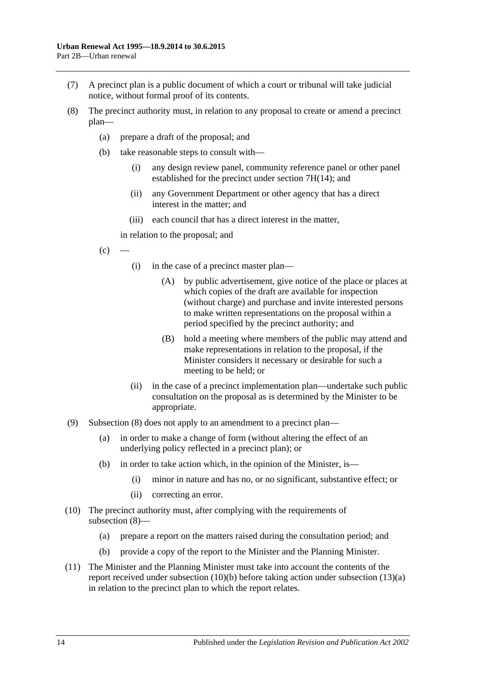- (7) A precinct plan is a public document of which a court or tribunal will take judicial notice, without formal proof of its contents.
- <span id="page-13-0"></span>(8) The precinct authority must, in relation to any proposal to create or amend a precinct plan—
	- (a) prepare a draft of the proposal; and
	- (b) take reasonable steps to consult with—
		- (i) any design review panel, community reference panel or other panel established for the precinct under section [7H\(14\);](#page-10-1) and
		- (ii) any Government Department or other agency that has a direct interest in the matter; and
		- (iii) each council that has a direct interest in the matter,

in relation to the proposal; and

$$
(c) \quad -
$$

- (i) in the case of a precinct master plan—
	- (A) by public advertisement, give notice of the place or places at which copies of the draft are available for inspection (without charge) and purchase and invite interested persons to make written representations on the proposal within a period specified by the precinct authority; and
	- (B) hold a meeting where members of the public may attend and make representations in relation to the proposal, if the Minister considers it necessary or desirable for such a meeting to be held; or
- (ii) in the case of a precinct implementation plan—undertake such public consultation on the proposal as is determined by the Minister to be appropriate.
- (9) [Subsection](#page-13-0) (8) does not apply to an amendment to a precinct plan—
	- (a) in order to make a change of form (without altering the effect of an underlying policy reflected in a precinct plan); or
	- (b) in order to take action which, in the opinion of the Minister, is—
		- (i) minor in nature and has no, or no significant, substantive effect; or
		- (ii) correcting an error.
- <span id="page-13-2"></span>(10) The precinct authority must, after complying with the requirements of [subsection](#page-13-0) (8)—
	- (a) prepare a report on the matters raised during the consultation period; and
	- (b) provide a copy of the report to the Minister and the Planning Minister.
- <span id="page-13-1"></span>(11) The Minister and the Planning Minister must take into account the contents of the report received under [subsection](#page-13-1) (10)(b) before taking action under [subsection](#page-14-0) (13)(a) in relation to the precinct plan to which the report relates.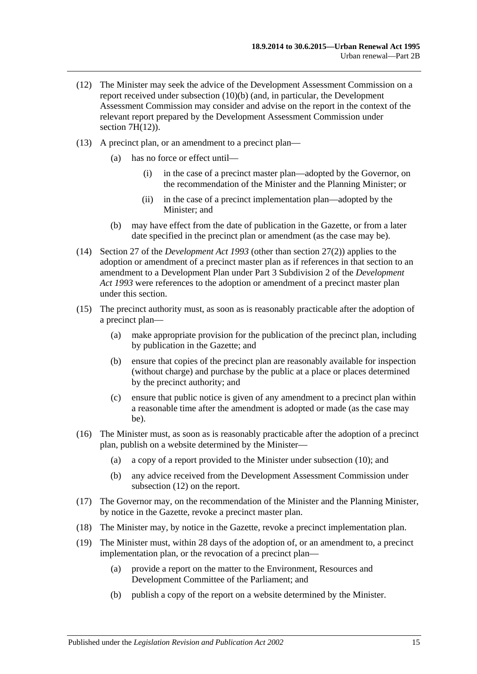- <span id="page-14-1"></span>(12) The Minister may seek the advice of the Development Assessment Commission on a report received under [subsection](#page-13-1) (10)(b) (and, in particular, the Development Assessment Commission may consider and advise on the report in the context of the relevant report prepared by the Development Assessment Commission under section  $7H(12)$ ).
- <span id="page-14-0"></span>(13) A precinct plan, or an amendment to a precinct plan—
	- (a) has no force or effect until—
		- (i) in the case of a precinct master plan—adopted by the Governor, on the recommendation of the Minister and the Planning Minister; or
		- (ii) in the case of a precinct implementation plan—adopted by the Minister; and
	- (b) may have effect from the date of publication in the Gazette, or from a later date specified in the precinct plan or amendment (as the case may be).
- (14) Section 27 of the *[Development Act](http://www.legislation.sa.gov.au/index.aspx?action=legref&type=act&legtitle=Development%20Act%201993) 1993* (other than section 27(2)) applies to the adoption or amendment of a precinct master plan as if references in that section to an amendment to a Development Plan under Part 3 Subdivision 2 of the *[Development](http://www.legislation.sa.gov.au/index.aspx?action=legref&type=act&legtitle=Development%20Act%201993)  Act [1993](http://www.legislation.sa.gov.au/index.aspx?action=legref&type=act&legtitle=Development%20Act%201993)* were references to the adoption or amendment of a precinct master plan under this section.
- (15) The precinct authority must, as soon as is reasonably practicable after the adoption of a precinct plan—
	- (a) make appropriate provision for the publication of the precinct plan, including by publication in the Gazette; and
	- (b) ensure that copies of the precinct plan are reasonably available for inspection (without charge) and purchase by the public at a place or places determined by the precinct authority; and
	- (c) ensure that public notice is given of any amendment to a precinct plan within a reasonable time after the amendment is adopted or made (as the case may be).
- (16) The Minister must, as soon as is reasonably practicable after the adoption of a precinct plan, publish on a website determined by the Minister—
	- (a) a copy of a report provided to the Minister under [subsection](#page-13-2) (10); and
	- (b) any advice received from the Development Assessment Commission under [subsection](#page-14-1) (12) on the report.
- (17) The Governor may, on the recommendation of the Minister and the Planning Minister, by notice in the Gazette, revoke a precinct master plan.
- (18) The Minister may, by notice in the Gazette, revoke a precinct implementation plan.
- (19) The Minister must, within 28 days of the adoption of, or an amendment to, a precinct implementation plan, or the revocation of a precinct plan—
	- (a) provide a report on the matter to the Environment, Resources and Development Committee of the Parliament; and
	- (b) publish a copy of the report on a website determined by the Minister.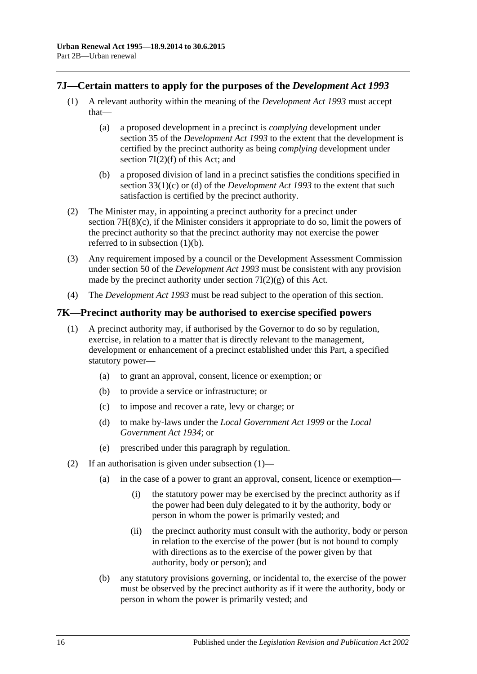#### <span id="page-15-0"></span>**7J—Certain matters to apply for the purposes of the** *Development Act 1993*

- (1) A relevant authority within the meaning of the *[Development Act](http://www.legislation.sa.gov.au/index.aspx?action=legref&type=act&legtitle=Development%20Act%201993) 1993* must accept that—
	- (a) a proposed development in a precinct is *complying* development under section 35 of the *[Development Act](http://www.legislation.sa.gov.au/index.aspx?action=legref&type=act&legtitle=Development%20Act%201993) 1993* to the extent that the development is certified by the precinct authority as being *complying* development under section [7I\(2\)\(f\)](#page-12-0) of this Act; and
	- (b) a proposed division of land in a precinct satisfies the conditions specified in section 33(1)(c) or (d) of the *[Development Act](http://www.legislation.sa.gov.au/index.aspx?action=legref&type=act&legtitle=Development%20Act%201993) 1993* to the extent that such satisfaction is certified by the precinct authority.
- <span id="page-15-2"></span>(2) The Minister may, in appointing a precinct authority for a precinct under section [7H\(8\)\(c\),](#page-9-4) if the Minister considers it appropriate to do so, limit the powers of the precinct authority so that the precinct authority may not exercise the power referred to in [subsection](#page-15-2) (1)(b).
- (3) Any requirement imposed by a council or the Development Assessment Commission under section 50 of the *[Development Act](http://www.legislation.sa.gov.au/index.aspx?action=legref&type=act&legtitle=Development%20Act%201993) 1993* must be consistent with any provision made by the precinct authority under section  $7I(2)(g)$  of this Act.
- (4) The *[Development Act](http://www.legislation.sa.gov.au/index.aspx?action=legref&type=act&legtitle=Development%20Act%201993) 1993* must be read subject to the operation of this section.

#### <span id="page-15-3"></span><span id="page-15-1"></span>**7K—Precinct authority may be authorised to exercise specified powers**

- (1) A precinct authority may, if authorised by the Governor to do so by regulation, exercise, in relation to a matter that is directly relevant to the management, development or enhancement of a precinct established under this Part, a specified statutory power—
	- (a) to grant an approval, consent, licence or exemption; or
	- (b) to provide a service or infrastructure; or
	- (c) to impose and recover a rate, levy or charge; or
	- (d) to make by-laws under the *[Local Government Act](http://www.legislation.sa.gov.au/index.aspx?action=legref&type=act&legtitle=Local%20Government%20Act%201999) 1999* or the *[Local](http://www.legislation.sa.gov.au/index.aspx?action=legref&type=act&legtitle=Local%20Government%20Act%201934)  [Government Act](http://www.legislation.sa.gov.au/index.aspx?action=legref&type=act&legtitle=Local%20Government%20Act%201934) 1934*; or
	- (e) prescribed under this paragraph by regulation.
- <span id="page-15-7"></span><span id="page-15-6"></span><span id="page-15-5"></span><span id="page-15-4"></span>(2) If an authorisation is given under [subsection](#page-15-3) (1)—
	- (a) in the case of a power to grant an approval, consent, licence or exemption—
		- (i) the statutory power may be exercised by the precinct authority as if the power had been duly delegated to it by the authority, body or person in whom the power is primarily vested; and
		- (ii) the precinct authority must consult with the authority, body or person in relation to the exercise of the power (but is not bound to comply with directions as to the exercise of the power given by that authority, body or person); and
	- (b) any statutory provisions governing, or incidental to, the exercise of the power must be observed by the precinct authority as if it were the authority, body or person in whom the power is primarily vested; and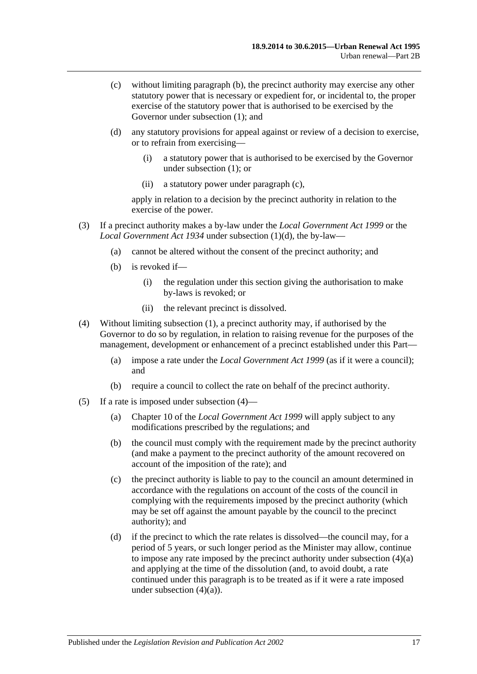- <span id="page-16-0"></span>(c) without limiting [paragraph](#page-15-4) (b), the precinct authority may exercise any other statutory power that is necessary or expedient for, or incidental to, the proper exercise of the statutory power that is authorised to be exercised by the Governor under [subsection](#page-15-3) (1); and
- (d) any statutory provisions for appeal against or review of a decision to exercise, or to refrain from exercising—
	- (i) a statutory power that is authorised to be exercised by the Governor under [subsection](#page-15-3) (1); or
	- (ii) a statutory power under [paragraph](#page-16-0) (c),

apply in relation to a decision by the precinct authority in relation to the exercise of the power.

- (3) If a precinct authority makes a by-law under the *[Local Government Act](http://www.legislation.sa.gov.au/index.aspx?action=legref&type=act&legtitle=Local%20Government%20Act%201999) 1999* or the *[Local Government Act](http://www.legislation.sa.gov.au/index.aspx?action=legref&type=act&legtitle=Local%20Government%20Act%201934) 1934* under [subsection](#page-15-5) (1)(d), the by-law—
	- (a) cannot be altered without the consent of the precinct authority; and
	- (b) is revoked if—
		- (i) the regulation under this section giving the authorisation to make by-laws is revoked; or
		- (ii) the relevant precinct is dissolved.
- <span id="page-16-2"></span><span id="page-16-1"></span>(4) Without limiting [subsection](#page-15-3) (1), a precinct authority may, if authorised by the Governor to do so by regulation, in relation to raising revenue for the purposes of the management, development or enhancement of a precinct established under this Part—
	- (a) impose a rate under the *[Local Government Act](http://www.legislation.sa.gov.au/index.aspx?action=legref&type=act&legtitle=Local%20Government%20Act%201999) 1999* (as if it were a council); and
	- (b) require a council to collect the rate on behalf of the precinct authority.
- (5) If a rate is imposed under [subsection](#page-16-1) (4)—
	- (a) Chapter 10 of the *[Local Government Act](http://www.legislation.sa.gov.au/index.aspx?action=legref&type=act&legtitle=Local%20Government%20Act%201999) 1999* will apply subject to any modifications prescribed by the regulations; and
	- (b) the council must comply with the requirement made by the precinct authority (and make a payment to the precinct authority of the amount recovered on account of the imposition of the rate); and
	- (c) the precinct authority is liable to pay to the council an amount determined in accordance with the regulations on account of the costs of the council in complying with the requirements imposed by the precinct authority (which may be set off against the amount payable by the council to the precinct authority); and
	- (d) if the precinct to which the rate relates is dissolved—the council may, for a period of 5 years, or such longer period as the Minister may allow, continue to impose any rate imposed by the precinct authority under [subsection](#page-16-2) (4)(a) and applying at the time of the dissolution (and, to avoid doubt, a rate continued under this paragraph is to be treated as if it were a rate imposed under [subsection](#page-16-2)  $(4)(a)$ .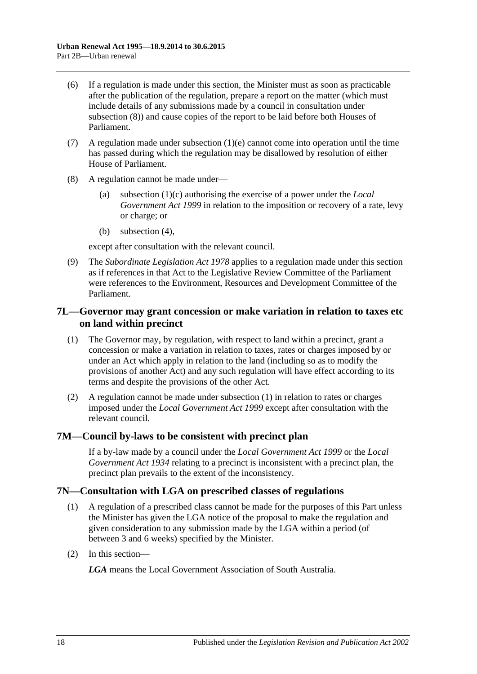- (6) If a regulation is made under this section, the Minister must as soon as practicable after the publication of the regulation, prepare a report on the matter (which must include details of any submissions made by a council in consultation under [subsection](#page-17-3) (8)) and cause copies of the report to be laid before both Houses of Parliament.
- (7) A regulation made under [subsection](#page-15-6)  $(1)(e)$  cannot come into operation until the time has passed during which the regulation may be disallowed by resolution of either House of Parliament.
- <span id="page-17-3"></span>(8) A regulation cannot be made under—
	- (a) [subsection](#page-15-7) (1)(c) authorising the exercise of a power under the *[Local](http://www.legislation.sa.gov.au/index.aspx?action=legref&type=act&legtitle=Local%20Government%20Act%201999)  [Government Act](http://www.legislation.sa.gov.au/index.aspx?action=legref&type=act&legtitle=Local%20Government%20Act%201999) 1999* in relation to the imposition or recovery of a rate, levy or charge; or
	- (b) [subsection](#page-16-1) (4),

except after consultation with the relevant council.

(9) The *[Subordinate Legislation Act](http://www.legislation.sa.gov.au/index.aspx?action=legref&type=act&legtitle=Subordinate%20Legislation%20Act%201978) 1978* applies to a regulation made under this section as if references in that Act to the Legislative Review Committee of the Parliament were references to the Environment, Resources and Development Committee of the Parliament.

#### <span id="page-17-0"></span>**7L—Governor may grant concession or make variation in relation to taxes etc on land within precinct**

- <span id="page-17-4"></span>(1) The Governor may, by regulation, with respect to land within a precinct, grant a concession or make a variation in relation to taxes, rates or charges imposed by or under an Act which apply in relation to the land (including so as to modify the provisions of another Act) and any such regulation will have effect according to its terms and despite the provisions of the other Act.
- (2) A regulation cannot be made under [subsection](#page-17-4) (1) in relation to rates or charges imposed under the *[Local Government Act](http://www.legislation.sa.gov.au/index.aspx?action=legref&type=act&legtitle=Local%20Government%20Act%201999) 1999* except after consultation with the relevant council.

#### <span id="page-17-1"></span>**7M—Council by-laws to be consistent with precinct plan**

If a by-law made by a council under the *[Local Government Act](http://www.legislation.sa.gov.au/index.aspx?action=legref&type=act&legtitle=Local%20Government%20Act%201999) 1999* or the *[Local](http://www.legislation.sa.gov.au/index.aspx?action=legref&type=act&legtitle=Local%20Government%20Act%201934)  [Government Act](http://www.legislation.sa.gov.au/index.aspx?action=legref&type=act&legtitle=Local%20Government%20Act%201934) 1934* relating to a precinct is inconsistent with a precinct plan, the precinct plan prevails to the extent of the inconsistency.

#### <span id="page-17-2"></span>**7N—Consultation with LGA on prescribed classes of regulations**

- (1) A regulation of a prescribed class cannot be made for the purposes of this Part unless the Minister has given the LGA notice of the proposal to make the regulation and given consideration to any submission made by the LGA within a period (of between 3 and 6 weeks) specified by the Minister.
- (2) In this section—

*LGA* means the Local Government Association of South Australia.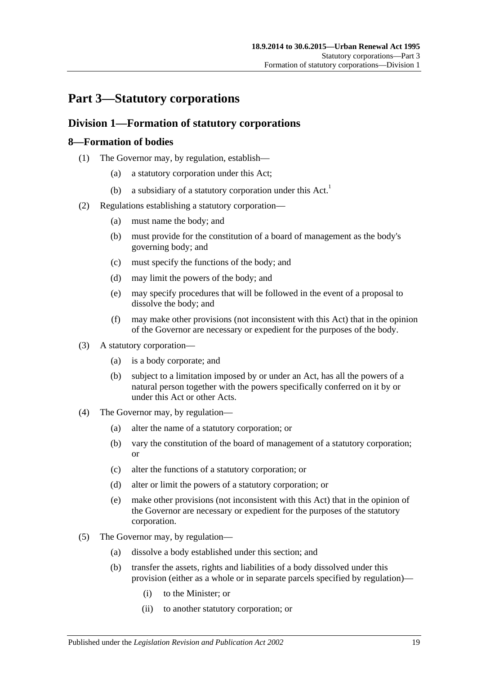## <span id="page-18-0"></span>**Part 3—Statutory corporations**

### <span id="page-18-1"></span>**Division 1—Formation of statutory corporations**

#### <span id="page-18-2"></span>**8—Formation of bodies**

- (1) The Governor may, by regulation, establish—
	- (a) a statutory corporation under this Act;
	- (b) a subsidiary of a statutory corporation under this  $Act.$ <sup>1</sup>
- <span id="page-18-4"></span>(2) Regulations establishing a statutory corporation—
	- (a) must name the body; and
	- (b) must provide for the constitution of a board of management as the body's governing body; and
	- (c) must specify the functions of the body; and
	- (d) may limit the powers of the body; and
	- (e) may specify procedures that will be followed in the event of a proposal to dissolve the body; and
	- (f) may make other provisions (not inconsistent with this Act) that in the opinion of the Governor are necessary or expedient for the purposes of the body.
- <span id="page-18-3"></span>(3) A statutory corporation—
	- (a) is a body corporate; and
	- (b) subject to a limitation imposed by or under an Act, has all the powers of a natural person together with the powers specifically conferred on it by or under this Act or other Acts.
- (4) The Governor may, by regulation—
	- (a) alter the name of a statutory corporation; or
	- (b) vary the constitution of the board of management of a statutory corporation; or
	- (c) alter the functions of a statutory corporation; or
	- (d) alter or limit the powers of a statutory corporation; or
	- (e) make other provisions (not inconsistent with this Act) that in the opinion of the Governor are necessary or expedient for the purposes of the statutory corporation.
- (5) The Governor may, by regulation—
	- (a) dissolve a body established under this section; and
	- (b) transfer the assets, rights and liabilities of a body dissolved under this provision (either as a whole or in separate parcels specified by regulation)—
		- (i) to the Minister; or
		- (ii) to another statutory corporation; or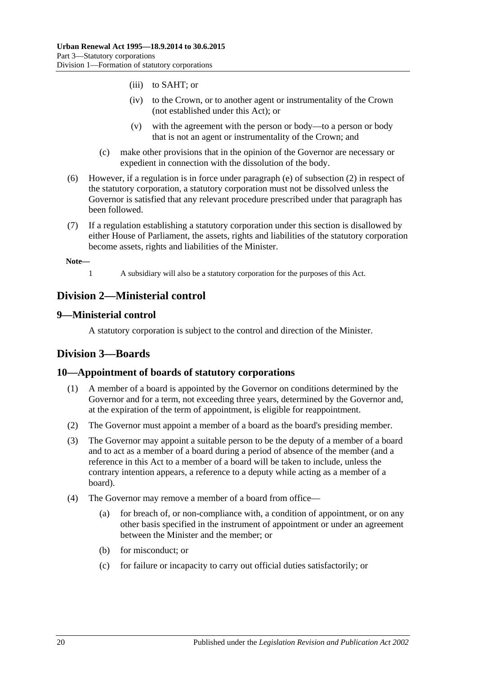- (iii) to SAHT; or
- (iv) to the Crown, or to another agent or instrumentality of the Crown (not established under this Act); or
- (v) with the agreement with the person or body—to a person or body that is not an agent or instrumentality of the Crown; and
- (c) make other provisions that in the opinion of the Governor are necessary or expedient in connection with the dissolution of the body.
- (6) However, if a regulation is in force under [paragraph](#page-18-3) (e) of [subsection](#page-18-4) (2) in respect of the statutory corporation, a statutory corporation must not be dissolved unless the Governor is satisfied that any relevant procedure prescribed under that paragraph has been followed.
- (7) If a regulation establishing a statutory corporation under this section is disallowed by either House of Parliament, the assets, rights and liabilities of the statutory corporation become assets, rights and liabilities of the Minister.

**Note—**

- - 1 A subsidiary will also be a statutory corporation for the purposes of this Act.

## <span id="page-19-0"></span>**Division 2—Ministerial control**

#### <span id="page-19-1"></span>**9—Ministerial control**

A statutory corporation is subject to the control and direction of the Minister.

## <span id="page-19-2"></span>**Division 3—Boards**

### <span id="page-19-3"></span>**10—Appointment of boards of statutory corporations**

- (1) A member of a board is appointed by the Governor on conditions determined by the Governor and for a term, not exceeding three years, determined by the Governor and, at the expiration of the term of appointment, is eligible for reappointment.
- (2) The Governor must appoint a member of a board as the board's presiding member.
- (3) The Governor may appoint a suitable person to be the deputy of a member of a board and to act as a member of a board during a period of absence of the member (and a reference in this Act to a member of a board will be taken to include, unless the contrary intention appears, a reference to a deputy while acting as a member of a board).
- <span id="page-19-4"></span>(4) The Governor may remove a member of a board from office—
	- (a) for breach of, or non-compliance with, a condition of appointment, or on any other basis specified in the instrument of appointment or under an agreement between the Minister and the member; or
	- (b) for misconduct; or
	- (c) for failure or incapacity to carry out official duties satisfactorily; or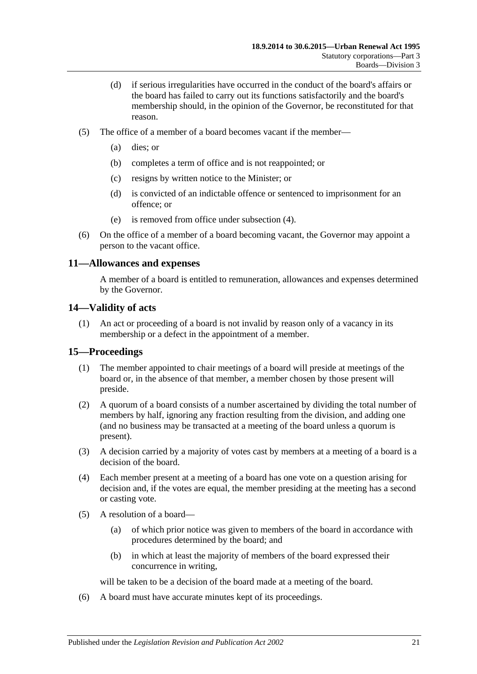- (d) if serious irregularities have occurred in the conduct of the board's affairs or the board has failed to carry out its functions satisfactorily and the board's membership should, in the opinion of the Governor, be reconstituted for that reason.
- (5) The office of a member of a board becomes vacant if the member—
	- (a) dies; or
	- (b) completes a term of office and is not reappointed; or
	- (c) resigns by written notice to the Minister; or
	- (d) is convicted of an indictable offence or sentenced to imprisonment for an offence; or
	- (e) is removed from office under [subsection](#page-19-4) (4).
- (6) On the office of a member of a board becoming vacant, the Governor may appoint a person to the vacant office.

#### <span id="page-20-0"></span>**11—Allowances and expenses**

A member of a board is entitled to remuneration, allowances and expenses determined by the Governor.

#### <span id="page-20-1"></span>**14—Validity of acts**

(1) An act or proceeding of a board is not invalid by reason only of a vacancy in its membership or a defect in the appointment of a member.

#### <span id="page-20-2"></span>**15—Proceedings**

- (1) The member appointed to chair meetings of a board will preside at meetings of the board or, in the absence of that member, a member chosen by those present will preside.
- (2) A quorum of a board consists of a number ascertained by dividing the total number of members by half, ignoring any fraction resulting from the division, and adding one (and no business may be transacted at a meeting of the board unless a quorum is present).
- (3) A decision carried by a majority of votes cast by members at a meeting of a board is a decision of the board.
- (4) Each member present at a meeting of a board has one vote on a question arising for decision and, if the votes are equal, the member presiding at the meeting has a second or casting vote.
- (5) A resolution of a board—
	- (a) of which prior notice was given to members of the board in accordance with procedures determined by the board; and
	- (b) in which at least the majority of members of the board expressed their concurrence in writing,

will be taken to be a decision of the board made at a meeting of the board.

(6) A board must have accurate minutes kept of its proceedings.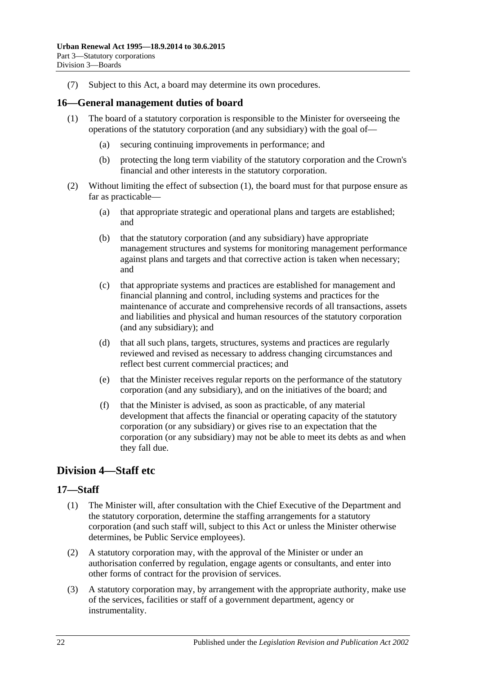(7) Subject to this Act, a board may determine its own procedures.

#### <span id="page-21-3"></span><span id="page-21-0"></span>**16—General management duties of board**

- (1) The board of a statutory corporation is responsible to the Minister for overseeing the operations of the statutory corporation (and any subsidiary) with the goal of—
	- (a) securing continuing improvements in performance; and
	- (b) protecting the long term viability of the statutory corporation and the Crown's financial and other interests in the statutory corporation.
- (2) Without limiting the effect of [subsection](#page-21-3) (1), the board must for that purpose ensure as far as practicable—
	- (a) that appropriate strategic and operational plans and targets are established; and
	- (b) that the statutory corporation (and any subsidiary) have appropriate management structures and systems for monitoring management performance against plans and targets and that corrective action is taken when necessary; and
	- (c) that appropriate systems and practices are established for management and financial planning and control, including systems and practices for the maintenance of accurate and comprehensive records of all transactions, assets and liabilities and physical and human resources of the statutory corporation (and any subsidiary); and
	- (d) that all such plans, targets, structures, systems and practices are regularly reviewed and revised as necessary to address changing circumstances and reflect best current commercial practices; and
	- (e) that the Minister receives regular reports on the performance of the statutory corporation (and any subsidiary), and on the initiatives of the board; and
	- (f) that the Minister is advised, as soon as practicable, of any material development that affects the financial or operating capacity of the statutory corporation (or any subsidiary) or gives rise to an expectation that the corporation (or any subsidiary) may not be able to meet its debts as and when they fall due.

### <span id="page-21-1"></span>**Division 4—Staff etc**

#### <span id="page-21-2"></span>**17—Staff**

- (1) The Minister will, after consultation with the Chief Executive of the Department and the statutory corporation, determine the staffing arrangements for a statutory corporation (and such staff will, subject to this Act or unless the Minister otherwise determines, be Public Service employees).
- (2) A statutory corporation may, with the approval of the Minister or under an authorisation conferred by regulation, engage agents or consultants, and enter into other forms of contract for the provision of services.
- (3) A statutory corporation may, by arrangement with the appropriate authority, make use of the services, facilities or staff of a government department, agency or instrumentality.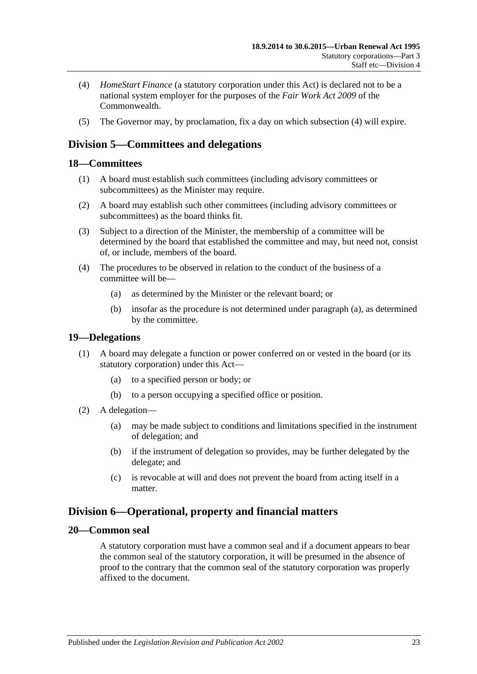- <span id="page-22-5"></span>(4) *HomeStart Finance* (a statutory corporation under this Act) is declared not to be a national system employer for the purposes of the *Fair Work Act 2009* of the Commonwealth.
- (5) The Governor may, by proclamation, fix a day on which [subsection](#page-22-5) (4) will expire.

## <span id="page-22-0"></span>**Division 5—Committees and delegations**

#### <span id="page-22-1"></span>**18—Committees**

- (1) A board must establish such committees (including advisory committees or subcommittees) as the Minister may require.
- (2) A board may establish such other committees (including advisory committees or subcommittees) as the board thinks fit.
- (3) Subject to a direction of the Minister, the membership of a committee will be determined by the board that established the committee and may, but need not, consist of, or include, members of the board.
- <span id="page-22-6"></span>(4) The procedures to be observed in relation to the conduct of the business of a committee will be—
	- (a) as determined by the Minister or the relevant board; or
	- (b) insofar as the procedure is not determined under [paragraph](#page-22-6) (a), as determined by the committee.

#### <span id="page-22-2"></span>**19—Delegations**

- (1) A board may delegate a function or power conferred on or vested in the board (or its statutory corporation) under this Act—
	- (a) to a specified person or body; or
	- (b) to a person occupying a specified office or position.
- (2) A delegation—
	- (a) may be made subject to conditions and limitations specified in the instrument of delegation; and
	- (b) if the instrument of delegation so provides, may be further delegated by the delegate; and
	- (c) is revocable at will and does not prevent the board from acting itself in a matter.

## <span id="page-22-3"></span>**Division 6—Operational, property and financial matters**

#### <span id="page-22-4"></span>**20—Common seal**

A statutory corporation must have a common seal and if a document appears to bear the common seal of the statutory corporation, it will be presumed in the absence of proof to the contrary that the common seal of the statutory corporation was properly affixed to the document.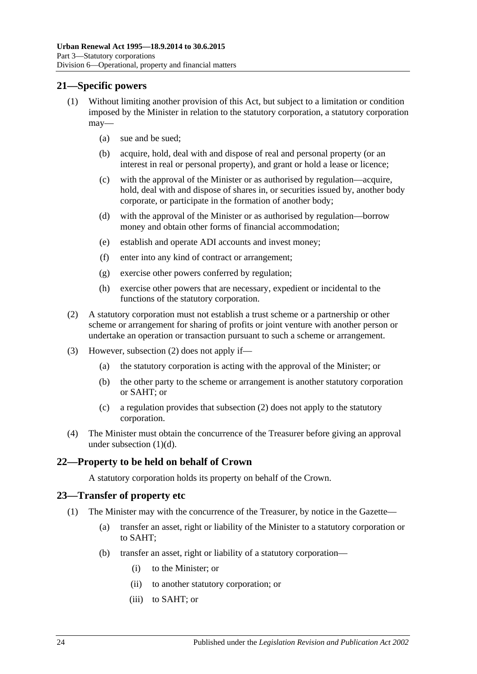#### <span id="page-23-0"></span>**21—Specific powers**

- (1) Without limiting another provision of this Act, but subject to a limitation or condition imposed by the Minister in relation to the statutory corporation, a statutory corporation may—
	- (a) sue and be sued;
	- (b) acquire, hold, deal with and dispose of real and personal property (or an interest in real or personal property), and grant or hold a lease or licence;
	- (c) with the approval of the Minister or as authorised by regulation—acquire, hold, deal with and dispose of shares in, or securities issued by, another body corporate, or participate in the formation of another body;
	- (d) with the approval of the Minister or as authorised by regulation—borrow money and obtain other forms of financial accommodation;
	- (e) establish and operate ADI accounts and invest money;
	- (f) enter into any kind of contract or arrangement;
	- (g) exercise other powers conferred by regulation;
	- (h) exercise other powers that are necessary, expedient or incidental to the functions of the statutory corporation.
- <span id="page-23-4"></span><span id="page-23-3"></span>(2) A statutory corporation must not establish a trust scheme or a partnership or other scheme or arrangement for sharing of profits or joint venture with another person or undertake an operation or transaction pursuant to such a scheme or arrangement.
- (3) However, [subsection](#page-23-3) (2) does not apply if—
	- (a) the statutory corporation is acting with the approval of the Minister; or
	- (b) the other party to the scheme or arrangement is another statutory corporation or SAHT; or
	- (c) a regulation provides that [subsection](#page-23-3) (2) does not apply to the statutory corporation.
- (4) The Minister must obtain the concurrence of the Treasurer before giving an approval under [subsection](#page-23-4) (1)(d).

#### <span id="page-23-1"></span>**22—Property to be held on behalf of Crown**

A statutory corporation holds its property on behalf of the Crown.

#### <span id="page-23-5"></span><span id="page-23-2"></span>**23—Transfer of property etc**

- <span id="page-23-6"></span>(1) The Minister may with the concurrence of the Treasurer, by notice in the Gazette—
	- (a) transfer an asset, right or liability of the Minister to a statutory corporation or to SAHT;
	- (b) transfer an asset, right or liability of a statutory corporation—
		- (i) to the Minister; or
		- (ii) to another statutory corporation; or
		- (iii) to SAHT; or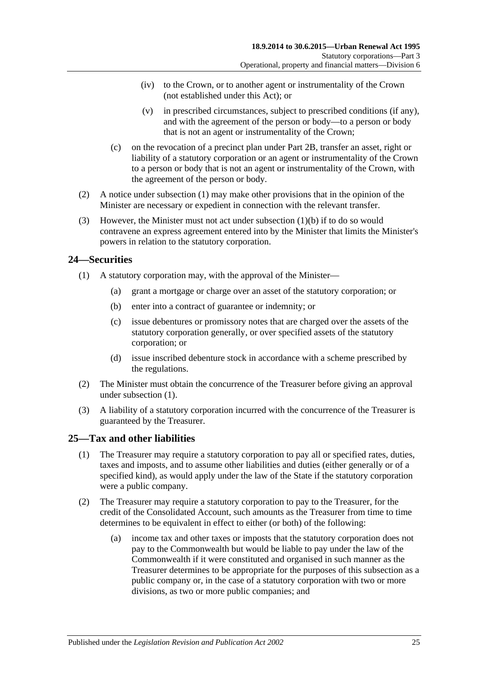- (iv) to the Crown, or to another agent or instrumentality of the Crown (not established under this Act); or
- (v) in prescribed circumstances, subject to prescribed conditions (if any), and with the agreement of the person or body—to a person or body that is not an agent or instrumentality of the Crown;
- (c) on the revocation of a precinct plan under [Part 2B,](#page-7-3) transfer an asset, right or liability of a statutory corporation or an agent or instrumentality of the Crown to a person or body that is not an agent or instrumentality of the Crown, with the agreement of the person or body.
- (2) A notice under [subsection](#page-23-5) (1) may make other provisions that in the opinion of the Minister are necessary or expedient in connection with the relevant transfer.
- (3) However, the Minister must not act under [subsection](#page-23-6)  $(1)(b)$  if to do so would contravene an express agreement entered into by the Minister that limits the Minister's powers in relation to the statutory corporation.

#### <span id="page-24-2"></span><span id="page-24-0"></span>**24—Securities**

- (1) A statutory corporation may, with the approval of the Minister—
	- (a) grant a mortgage or charge over an asset of the statutory corporation; or
	- (b) enter into a contract of guarantee or indemnity; or
	- (c) issue debentures or promissory notes that are charged over the assets of the statutory corporation generally, or over specified assets of the statutory corporation; or
	- (d) issue inscribed debenture stock in accordance with a scheme prescribed by the regulations.
- (2) The Minister must obtain the concurrence of the Treasurer before giving an approval under [subsection](#page-24-2) (1).
- (3) A liability of a statutory corporation incurred with the concurrence of the Treasurer is guaranteed by the Treasurer.

### <span id="page-24-1"></span>**25—Tax and other liabilities**

- (1) The Treasurer may require a statutory corporation to pay all or specified rates, duties, taxes and imposts, and to assume other liabilities and duties (either generally or of a specified kind), as would apply under the law of the State if the statutory corporation were a public company.
- <span id="page-24-3"></span>(2) The Treasurer may require a statutory corporation to pay to the Treasurer, for the credit of the Consolidated Account, such amounts as the Treasurer from time to time determines to be equivalent in effect to either (or both) of the following:
	- (a) income tax and other taxes or imposts that the statutory corporation does not pay to the Commonwealth but would be liable to pay under the law of the Commonwealth if it were constituted and organised in such manner as the Treasurer determines to be appropriate for the purposes of this subsection as a public company or, in the case of a statutory corporation with two or more divisions, as two or more public companies; and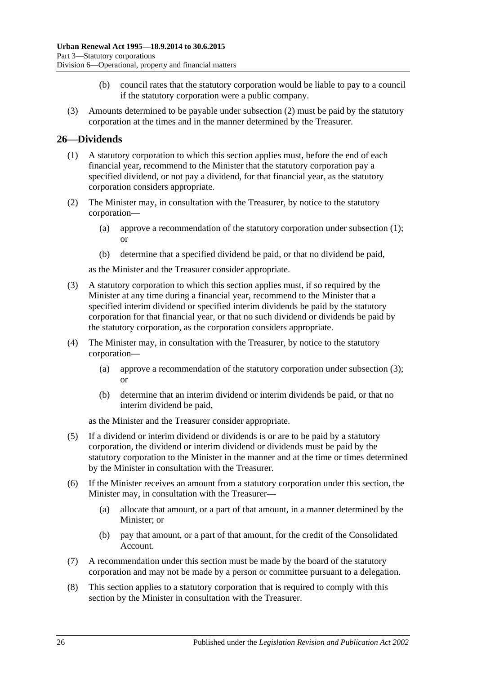- (b) council rates that the statutory corporation would be liable to pay to a council if the statutory corporation were a public company.
- (3) Amounts determined to be payable under [subsection](#page-24-3) (2) must be paid by the statutory corporation at the times and in the manner determined by the Treasurer.

#### <span id="page-25-1"></span><span id="page-25-0"></span>**26—Dividends**

- (1) A statutory corporation to which this section applies must, before the end of each financial year, recommend to the Minister that the statutory corporation pay a specified dividend, or not pay a dividend, for that financial year, as the statutory corporation considers appropriate.
- (2) The Minister may, in consultation with the Treasurer, by notice to the statutory corporation—
	- (a) approve a recommendation of the statutory corporation under [subsection](#page-25-1) (1); or
	- (b) determine that a specified dividend be paid, or that no dividend be paid,

as the Minister and the Treasurer consider appropriate.

- <span id="page-25-2"></span>(3) A statutory corporation to which this section applies must, if so required by the Minister at any time during a financial year, recommend to the Minister that a specified interim dividend or specified interim dividends be paid by the statutory corporation for that financial year, or that no such dividend or dividends be paid by the statutory corporation, as the corporation considers appropriate.
- (4) The Minister may, in consultation with the Treasurer, by notice to the statutory corporation—
	- (a) approve a recommendation of the statutory corporation under [subsection](#page-25-2) (3); or
	- (b) determine that an interim dividend or interim dividends be paid, or that no interim dividend be paid,

as the Minister and the Treasurer consider appropriate.

- (5) If a dividend or interim dividend or dividends is or are to be paid by a statutory corporation, the dividend or interim dividend or dividends must be paid by the statutory corporation to the Minister in the manner and at the time or times determined by the Minister in consultation with the Treasurer.
- (6) If the Minister receives an amount from a statutory corporation under this section, the Minister may, in consultation with the Treasurer—
	- (a) allocate that amount, or a part of that amount, in a manner determined by the Minister; or
	- (b) pay that amount, or a part of that amount, for the credit of the Consolidated Account.
- (7) A recommendation under this section must be made by the board of the statutory corporation and may not be made by a person or committee pursuant to a delegation.
- (8) This section applies to a statutory corporation that is required to comply with this section by the Minister in consultation with the Treasurer.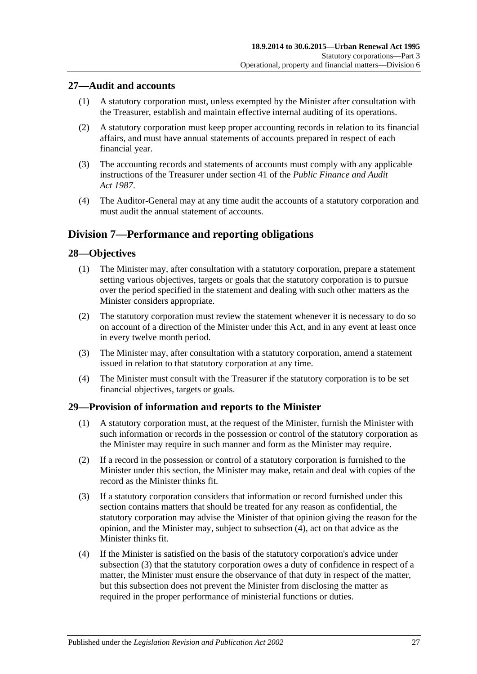#### <span id="page-26-0"></span>**27—Audit and accounts**

- (1) A statutory corporation must, unless exempted by the Minister after consultation with the Treasurer, establish and maintain effective internal auditing of its operations.
- (2) A statutory corporation must keep proper accounting records in relation to its financial affairs, and must have annual statements of accounts prepared in respect of each financial year.
- (3) The accounting records and statements of accounts must comply with any applicable instructions of the Treasurer under section 41 of the *[Public Finance and Audit](http://www.legislation.sa.gov.au/index.aspx?action=legref&type=act&legtitle=Public%20Finance%20and%20Audit%20Act%201987)  Act [1987](http://www.legislation.sa.gov.au/index.aspx?action=legref&type=act&legtitle=Public%20Finance%20and%20Audit%20Act%201987)*.
- (4) The Auditor-General may at any time audit the accounts of a statutory corporation and must audit the annual statement of accounts.

## <span id="page-26-1"></span>**Division 7—Performance and reporting obligations**

### <span id="page-26-2"></span>**28—Objectives**

- (1) The Minister may, after consultation with a statutory corporation, prepare a statement setting various objectives, targets or goals that the statutory corporation is to pursue over the period specified in the statement and dealing with such other matters as the Minister considers appropriate.
- (2) The statutory corporation must review the statement whenever it is necessary to do so on account of a direction of the Minister under this Act, and in any event at least once in every twelve month period.
- (3) The Minister may, after consultation with a statutory corporation, amend a statement issued in relation to that statutory corporation at any time.
- (4) The Minister must consult with the Treasurer if the statutory corporation is to be set financial objectives, targets or goals.

#### <span id="page-26-3"></span>**29—Provision of information and reports to the Minister**

- (1) A statutory corporation must, at the request of the Minister, furnish the Minister with such information or records in the possession or control of the statutory corporation as the Minister may require in such manner and form as the Minister may require.
- (2) If a record in the possession or control of a statutory corporation is furnished to the Minister under this section, the Minister may make, retain and deal with copies of the record as the Minister thinks fit.
- <span id="page-26-5"></span>(3) If a statutory corporation considers that information or record furnished under this section contains matters that should be treated for any reason as confidential, the statutory corporation may advise the Minister of that opinion giving the reason for the opinion, and the Minister may, subject to [subsection](#page-26-4) (4), act on that advice as the Minister thinks fit.
- <span id="page-26-4"></span>(4) If the Minister is satisfied on the basis of the statutory corporation's advice under [subsection](#page-26-5) (3) that the statutory corporation owes a duty of confidence in respect of a matter, the Minister must ensure the observance of that duty in respect of the matter, but this subsection does not prevent the Minister from disclosing the matter as required in the proper performance of ministerial functions or duties.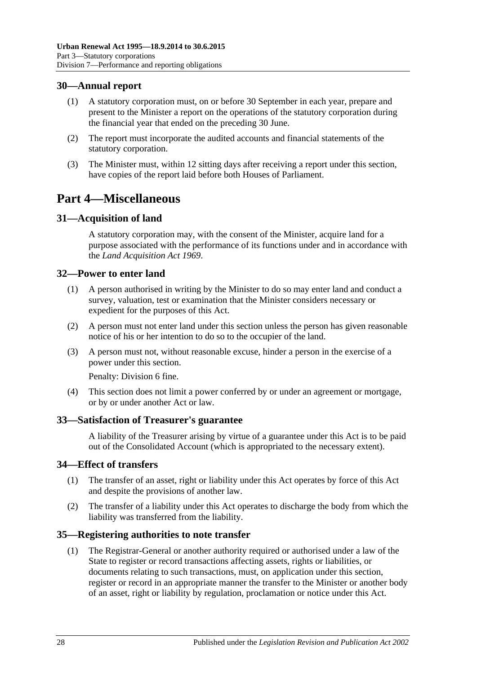#### <span id="page-27-0"></span>**30—Annual report**

- (1) A statutory corporation must, on or before 30 September in each year, prepare and present to the Minister a report on the operations of the statutory corporation during the financial year that ended on the preceding 30 June.
- (2) The report must incorporate the audited accounts and financial statements of the statutory corporation.
- (3) The Minister must, within 12 sitting days after receiving a report under this section, have copies of the report laid before both Houses of Parliament.

## <span id="page-27-1"></span>**Part 4—Miscellaneous**

#### <span id="page-27-2"></span>**31—Acquisition of land**

A statutory corporation may, with the consent of the Minister, acquire land for a purpose associated with the performance of its functions under and in accordance with the *[Land Acquisition Act](http://www.legislation.sa.gov.au/index.aspx?action=legref&type=act&legtitle=Land%20Acquisition%20Act%201969) 1969*.

#### <span id="page-27-3"></span>**32—Power to enter land**

- (1) A person authorised in writing by the Minister to do so may enter land and conduct a survey, valuation, test or examination that the Minister considers necessary or expedient for the purposes of this Act.
- (2) A person must not enter land under this section unless the person has given reasonable notice of his or her intention to do so to the occupier of the land.
- (3) A person must not, without reasonable excuse, hinder a person in the exercise of a power under this section.

Penalty: Division 6 fine.

(4) This section does not limit a power conferred by or under an agreement or mortgage, or by or under another Act or law.

#### <span id="page-27-4"></span>**33—Satisfaction of Treasurer's guarantee**

A liability of the Treasurer arising by virtue of a guarantee under this Act is to be paid out of the Consolidated Account (which is appropriated to the necessary extent).

#### <span id="page-27-5"></span>**34—Effect of transfers**

- (1) The transfer of an asset, right or liability under this Act operates by force of this Act and despite the provisions of another law.
- (2) The transfer of a liability under this Act operates to discharge the body from which the liability was transferred from the liability.

#### <span id="page-27-7"></span><span id="page-27-6"></span>**35—Registering authorities to note transfer**

(1) The Registrar-General or another authority required or authorised under a law of the State to register or record transactions affecting assets, rights or liabilities, or documents relating to such transactions, must, on application under this section, register or record in an appropriate manner the transfer to the Minister or another body of an asset, right or liability by regulation, proclamation or notice under this Act.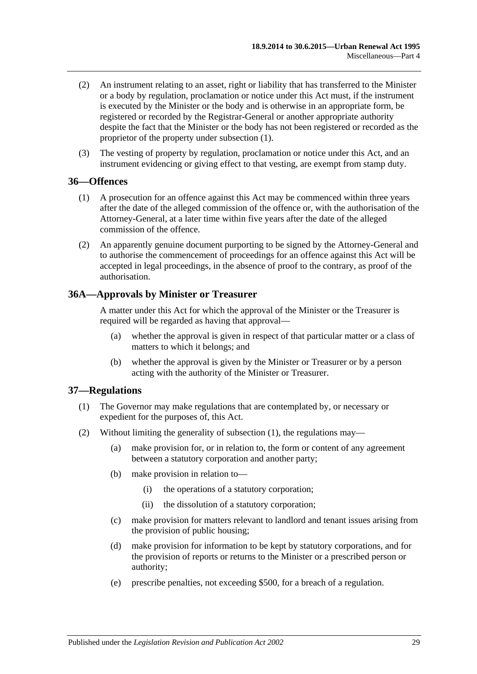- (2) An instrument relating to an asset, right or liability that has transferred to the Minister or a body by regulation, proclamation or notice under this Act must, if the instrument is executed by the Minister or the body and is otherwise in an appropriate form, be registered or recorded by the Registrar-General or another appropriate authority despite the fact that the Minister or the body has not been registered or recorded as the proprietor of the property under [subsection](#page-27-7) (1).
- (3) The vesting of property by regulation, proclamation or notice under this Act, and an instrument evidencing or giving effect to that vesting, are exempt from stamp duty.

#### <span id="page-28-0"></span>**36—Offences**

- (1) A prosecution for an offence against this Act may be commenced within three years after the date of the alleged commission of the offence or, with the authorisation of the Attorney-General, at a later time within five years after the date of the alleged commission of the offence.
- (2) An apparently genuine document purporting to be signed by the Attorney-General and to authorise the commencement of proceedings for an offence against this Act will be accepted in legal proceedings, in the absence of proof to the contrary, as proof of the authorisation.

#### <span id="page-28-1"></span>**36A—Approvals by Minister or Treasurer**

A matter under this Act for which the approval of the Minister or the Treasurer is required will be regarded as having that approval—

- (a) whether the approval is given in respect of that particular matter or a class of matters to which it belongs; and
- (b) whether the approval is given by the Minister or Treasurer or by a person acting with the authority of the Minister or Treasurer.

#### <span id="page-28-3"></span><span id="page-28-2"></span>**37—Regulations**

- (1) The Governor may make regulations that are contemplated by, or necessary or expedient for the purposes of, this Act.
- (2) Without limiting the generality of [subsection](#page-28-3) (1), the regulations may—
	- (a) make provision for, or in relation to, the form or content of any agreement between a statutory corporation and another party;
	- (b) make provision in relation to—
		- (i) the operations of a statutory corporation;
		- (ii) the dissolution of a statutory corporation;
	- (c) make provision for matters relevant to landlord and tenant issues arising from the provision of public housing;
	- (d) make provision for information to be kept by statutory corporations, and for the provision of reports or returns to the Minister or a prescribed person or authority;
	- (e) prescribe penalties, not exceeding \$500, for a breach of a regulation.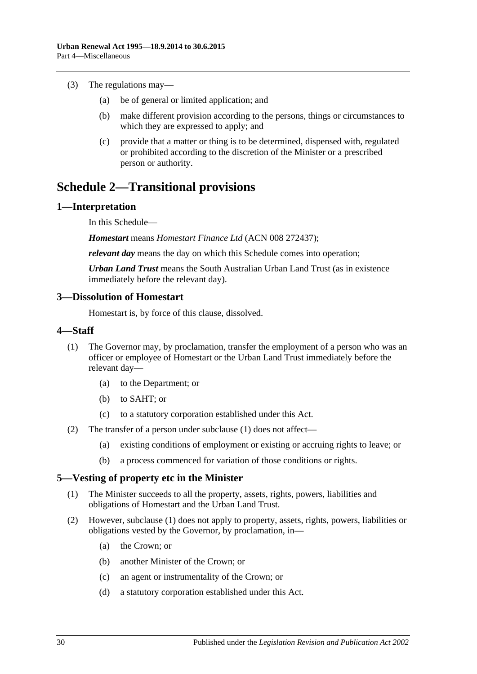- (3) The regulations may—
	- (a) be of general or limited application; and
	- (b) make different provision according to the persons, things or circumstances to which they are expressed to apply; and
	- (c) provide that a matter or thing is to be determined, dispensed with, regulated or prohibited according to the discretion of the Minister or a prescribed person or authority.

## <span id="page-29-0"></span>**Schedule 2—Transitional provisions**

#### <span id="page-29-1"></span>**1—Interpretation**

In this Schedule—

*Homestart* means *Homestart Finance Ltd* (ACN 008 272437);

*relevant day* means the day on which this Schedule comes into operation;

*Urban Land Trust* means the South Australian Urban Land Trust (as in existence immediately before the relevant day).

#### <span id="page-29-2"></span>**3—Dissolution of Homestart**

Homestart is, by force of this clause, dissolved.

#### <span id="page-29-5"></span><span id="page-29-3"></span>**4—Staff**

- (1) The Governor may, by proclamation, transfer the employment of a person who was an officer or employee of Homestart or the Urban Land Trust immediately before the relevant day—
	- (a) to the Department; or
	- (b) to SAHT; or
	- (c) to a statutory corporation established under this Act.
- (2) The transfer of a person under [subclause](#page-29-5) (1) does not affect—
	- (a) existing conditions of employment or existing or accruing rights to leave; or
	- (b) a process commenced for variation of those conditions or rights.

#### <span id="page-29-6"></span><span id="page-29-4"></span>**5—Vesting of property etc in the Minister**

- (1) The Minister succeeds to all the property, assets, rights, powers, liabilities and obligations of Homestart and the Urban Land Trust.
- (2) However, [subclause](#page-29-6) (1) does not apply to property, assets, rights, powers, liabilities or obligations vested by the Governor, by proclamation, in—
	- (a) the Crown; or
	- (b) another Minister of the Crown; or
	- (c) an agent or instrumentality of the Crown; or
	- (d) a statutory corporation established under this Act.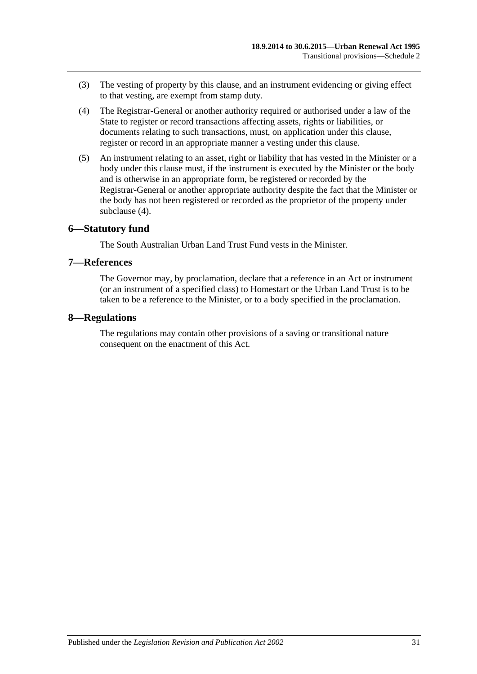- (3) The vesting of property by this clause, and an instrument evidencing or giving effect to that vesting, are exempt from stamp duty.
- <span id="page-30-3"></span>(4) The Registrar-General or another authority required or authorised under a law of the State to register or record transactions affecting assets, rights or liabilities, or documents relating to such transactions, must, on application under this clause, register or record in an appropriate manner a vesting under this clause.
- (5) An instrument relating to an asset, right or liability that has vested in the Minister or a body under this clause must, if the instrument is executed by the Minister or the body and is otherwise in an appropriate form, be registered or recorded by the Registrar-General or another appropriate authority despite the fact that the Minister or the body has not been registered or recorded as the proprietor of the property under [subclause](#page-30-3) (4).

#### <span id="page-30-0"></span>**6—Statutory fund**

The South Australian Urban Land Trust Fund vests in the Minister.

#### <span id="page-30-1"></span>**7—References**

The Governor may, by proclamation, declare that a reference in an Act or instrument (or an instrument of a specified class) to Homestart or the Urban Land Trust is to be taken to be a reference to the Minister, or to a body specified in the proclamation.

#### <span id="page-30-2"></span>**8—Regulations**

The regulations may contain other provisions of a saving or transitional nature consequent on the enactment of this Act.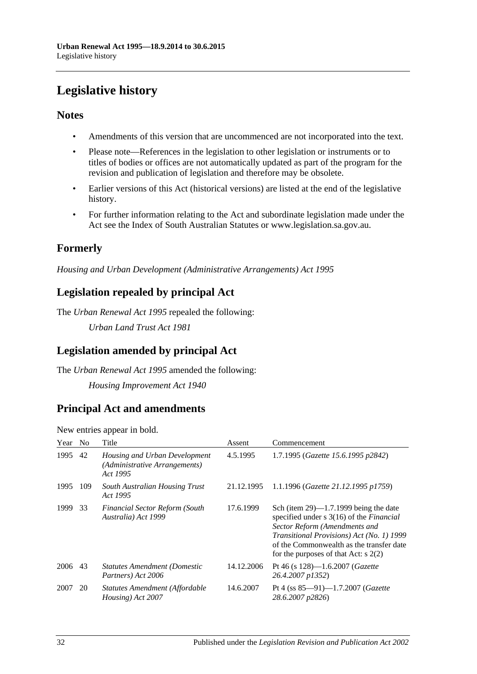## <span id="page-31-0"></span>**Legislative history**

### **Notes**

- Amendments of this version that are uncommenced are not incorporated into the text.
- Please note—References in the legislation to other legislation or instruments or to titles of bodies or offices are not automatically updated as part of the program for the revision and publication of legislation and therefore may be obsolete.
- Earlier versions of this Act (historical versions) are listed at the end of the legislative history.
- For further information relating to the Act and subordinate legislation made under the Act see the Index of South Australian Statutes or www.legislation.sa.gov.au.

## **Formerly**

*Housing and Urban Development (Administrative Arrangements) Act 1995*

## **Legislation repealed by principal Act**

The *Urban Renewal Act 1995* repealed the following:

*Urban Land Trust Act 1981*

## **Legislation amended by principal Act**

The *Urban Renewal Act 1995* amended the following: *Housing Improvement Act 1940*

## **Principal Act and amendments**

New entries appear in bold.

| Year | No. | Title                                                                      | Assent     | Commencement                                                                                                                                                                                                                                                         |
|------|-----|----------------------------------------------------------------------------|------------|----------------------------------------------------------------------------------------------------------------------------------------------------------------------------------------------------------------------------------------------------------------------|
| 1995 | 42  | Housing and Urban Development<br>(Administrative Arrangements)<br>Act 1995 | 4.5.1995   | 1.7.1995 (Gazette 15.6.1995 p2842)                                                                                                                                                                                                                                   |
| 1995 | 109 | <b>South Australian Housing Trust</b><br>Act 1995                          | 21.12.1995 | 1.1.1996 (Gazette 21.12.1995 p1759)                                                                                                                                                                                                                                  |
| 1999 | 33  | <b>Financial Sector Reform (South</b><br>Australia) Act 1999               | 17.6.1999  | Sch (item $29$ )—1.7.1999 being the date<br>specified under $s \, 3(16)$ of the <i>Financial</i><br>Sector Reform (Amendments and<br>Transitional Provisions) Act (No. 1) 1999<br>of the Commonwealth as the transfer date<br>for the purposes of that Act: $s$ 2(2) |
| 2006 | 43  | <b>Statutes Amendment (Domestic</b><br>Partners) Act 2006                  | 14.12.2006 | Pt 46 (s $128$ )—1.6.2007 ( <i>Gazette</i><br>26.4.2007 p1352)                                                                                                                                                                                                       |
| 2007 | 20  | Statutes Amendment (Affordable<br>Housing) Act 2007                        | 14.6.2007  | Pt 4 (ss $85 - 91$ )-1.7.2007 ( <i>Gazette</i><br>28.6.2007 p2826)                                                                                                                                                                                                   |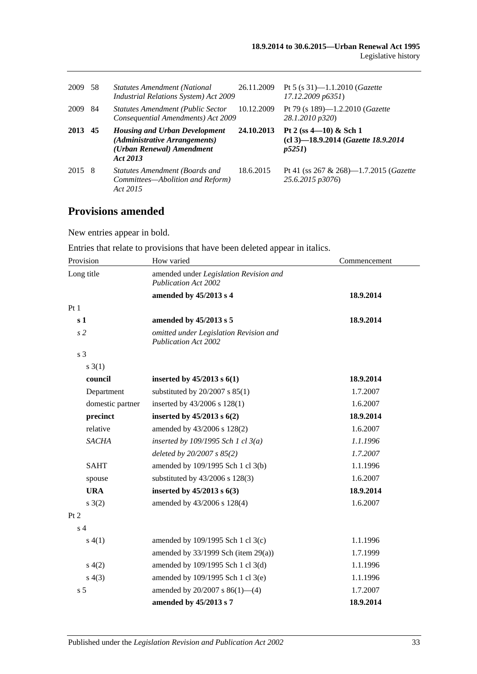| 2009 | -58 | <b>Statutes Amendment (National</b><br><b>Industrial Relations System) Act 2009</b>                            | 26.11.2009 | Pt 5 (s $31$ )—1.1.2010 ( <i>Gazette</i><br>17.12.2009 p6351)              |
|------|-----|----------------------------------------------------------------------------------------------------------------|------------|----------------------------------------------------------------------------|
| 2009 | -84 | <b>Statutes Amendment (Public Sector</b><br>Consequential Amendments) Act 2009                                 | 10.12.2009 | Pt 79 (s 189)—1.2.2010 ( <i>Gazette</i><br>28.1.2010 p320)                 |
| 2013 | 45  | <b>Housing and Urban Development</b><br>(Administrative Arrangements)<br>(Urban Renewal) Amendment<br>Act 2013 | 24.10.2013 | Pt 2 (ss $4-10$ ) & Sch 1<br>(cl 3)-18.9.2014 (Gazette 18.9.2014)<br>p5251 |
| 2015 | -8  | Statutes Amendment (Boards and<br>Committees—Abolition and Reform)<br>Act 2015                                 | 18.6.2015  | Pt 41 (ss 267 & 268)—1.7.2015 ( <i>Gazette</i><br>25.6.2015 p3076)         |

## **Provisions amended**

New entries appear in bold.

Entries that relate to provisions that have been deleted appear in italics.

| Provision        | How varied                                                            | Commencement |  |
|------------------|-----------------------------------------------------------------------|--------------|--|
| Long title       | amended under Legislation Revision and<br><b>Publication Act 2002</b> |              |  |
|                  | amended by 45/2013 s 4                                                | 18.9.2014    |  |
| Pt 1             |                                                                       |              |  |
| s <sub>1</sub>   | amended by 45/2013 s 5                                                | 18.9.2014    |  |
| s <sub>2</sub>   | omitted under Legislation Revision and<br>Publication Act 2002        |              |  |
| s <sub>3</sub>   |                                                                       |              |  |
| $s \; 3(1)$      |                                                                       |              |  |
| council          | inserted by $45/2013$ s $6(1)$                                        | 18.9.2014    |  |
| Department       | substituted by $20/2007$ s $85(1)$                                    | 1.7.2007     |  |
| domestic partner | inserted by 43/2006 s 128(1)                                          | 1.6.2007     |  |
| precinct         | inserted by $45/2013$ s $6(2)$                                        | 18.9.2014    |  |
| relative         | amended by 43/2006 s 128(2)                                           | 1.6.2007     |  |
| <b>SACHA</b>     | inserted by $109/1995$ Sch 1 cl $3(a)$                                | 1.1.1996     |  |
|                  | deleted by 20/2007 s 85(2)                                            | 1.7.2007     |  |
| <b>SAHT</b>      | amended by 109/1995 Sch 1 cl 3(b)                                     | 1.1.1996     |  |
| spouse           | substituted by 43/2006 s 128(3)                                       | 1.6.2007     |  |
| <b>URA</b>       | inserted by $45/2013$ s $6(3)$                                        | 18.9.2014    |  |
| $s \; 3(2)$      | amended by 43/2006 s 128(4)                                           | 1.6.2007     |  |
| Pt 2             |                                                                       |              |  |
| s <sub>4</sub>   |                                                                       |              |  |
| s(4(1))          | amended by 109/1995 Sch 1 cl 3(c)                                     | 1.1.1996     |  |
|                  | amended by $33/1999$ Sch (item 29(a))                                 | 1.7.1999     |  |
| s(4(2)           | amended by 109/1995 Sch 1 cl 3(d)                                     | 1.1.1996     |  |
| s(4(3))          | amended by 109/1995 Sch 1 cl 3(e)                                     | 1.1.1996     |  |
| s <sub>5</sub>   | amended by $20/2007$ s $86(1)$ —(4)                                   | 1.7.2007     |  |
|                  | amended by 45/2013 s 7                                                | 18.9.2014    |  |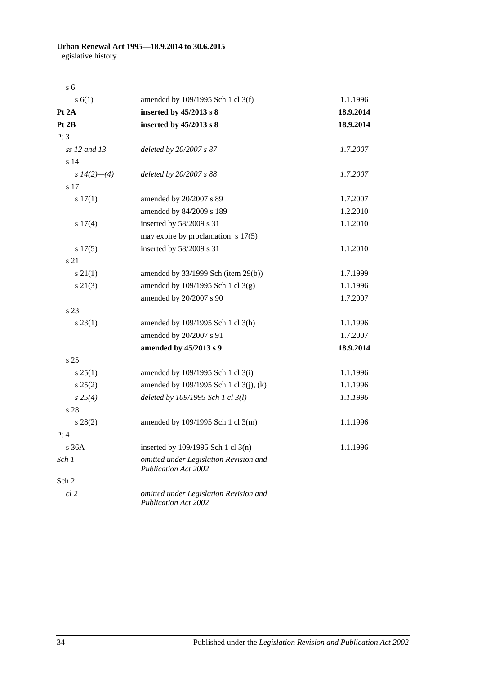#### **Urban Renewal Act 1995—18.9.2014 to 30.6.2015** Legislative history

| s <sub>6</sub> |                                                                       |           |
|----------------|-----------------------------------------------------------------------|-----------|
| s(6(1))        | amended by 109/1995 Sch 1 cl 3(f)                                     | 1.1.1996  |
| Pt 2A          | inserted by 45/2013 s 8                                               | 18.9.2014 |
| Pt 2B          | inserted by 45/2013 s 8                                               | 18.9.2014 |
| Pt 3           |                                                                       |           |
| ss 12 and 13   | deleted by 20/2007 s 87                                               | 1.7.2007  |
| s 14           |                                                                       |           |
| s $14(2)$ —(4) | deleted by 20/2007 s 88                                               | 1.7.2007  |
| s 17           |                                                                       |           |
| s 17(1)        | amended by 20/2007 s 89                                               | 1.7.2007  |
|                | amended by 84/2009 s 189                                              | 1.2.2010  |
| $s\ 17(4)$     | inserted by 58/2009 s 31                                              | 1.1.2010  |
|                | may expire by proclamation: $s$ 17(5)                                 |           |
| s 17(5)        | inserted by 58/2009 s 31                                              | 1.1.2010  |
| s 21           |                                                                       |           |
| $s \, 21(1)$   | amended by $33/1999$ Sch (item 29(b))                                 | 1.7.1999  |
| $s\ 21(3)$     | amended by 109/1995 Sch 1 cl 3(g)                                     | 1.1.1996  |
|                | amended by 20/2007 s 90                                               | 1.7.2007  |
| s 23           |                                                                       |           |
| $s\,23(1)$     | amended by 109/1995 Sch 1 cl 3(h)                                     | 1.1.1996  |
|                | amended by 20/2007 s 91                                               | 1.7.2007  |
|                | amended by 45/2013 s 9                                                | 18.9.2014 |
| s 25           |                                                                       |           |
| $s \, 25(1)$   | amended by 109/1995 Sch 1 cl 3(i)                                     | 1.1.1996  |
| s 25(2)        | amended by 109/1995 Sch 1 cl 3(j), (k)                                | 1.1.1996  |
| $s\,25(4)$     | deleted by 109/1995 Sch 1 cl 3(l)                                     | 1.1.1996  |
| s 28           |                                                                       |           |
| $s\,28(2)$     | amended by 109/1995 Sch 1 cl 3(m)                                     | 1.1.1996  |
| Pt 4           |                                                                       |           |
| s 36A          | inserted by 109/1995 Sch 1 cl 3(n)                                    | 1.1.1996  |
| Sch 1          | omitted under Legislation Revision and<br><b>Publication Act 2002</b> |           |
| Sch 2          |                                                                       |           |
| $cl$ 2         | omitted under Legislation Revision and<br><b>Publication Act 2002</b> |           |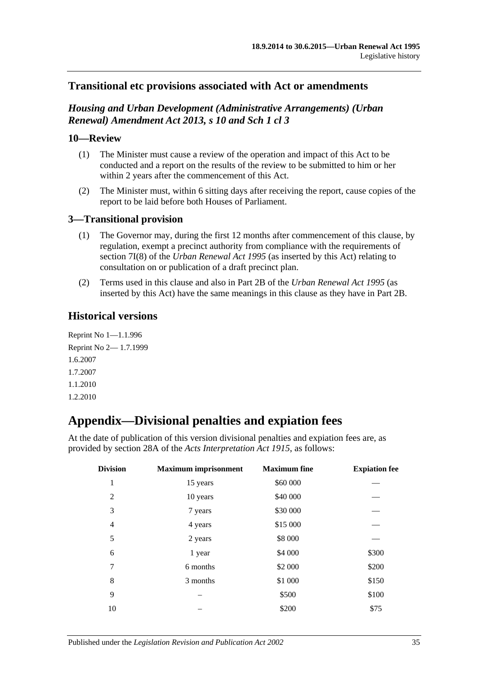### **Transitional etc provisions associated with Act or amendments**

### *Housing and Urban Development (Administrative Arrangements) (Urban Renewal) Amendment Act 2013, s 10 and Sch 1 cl 3*

#### **10—Review**

- (1) The Minister must cause a review of the operation and impact of this Act to be conducted and a report on the results of the review to be submitted to him or her within 2 years after the commencement of this Act.
- (2) The Minister must, within 6 sitting days after receiving the report, cause copies of the report to be laid before both Houses of Parliament.

### **3—Transitional provision**

- (1) The Governor may, during the first 12 months after commencement of this clause, by regulation, exempt a precinct authority from compliance with the requirements of section 7I(8) of the *[Urban Renewal Act](http://www.legislation.sa.gov.au/index.aspx?action=legref&type=act&legtitle=Urban%20Renewal%20Act%201995) 1995* (as inserted by this Act) relating to consultation on or publication of a draft precinct plan.
- (2) Terms used in this clause and also in Part 2B of the *[Urban Renewal Act](http://www.legislation.sa.gov.au/index.aspx?action=legref&type=act&legtitle=Urban%20Renewal%20Act%201995) 1995* (as inserted by this Act) have the same meanings in this clause as they have in Part 2B.

## **Historical versions**

Reprint No 1—1.1.996 Reprint No 2— 1.7.1999 1.6.2007 1.7.2007 1.1.2010 1.2.2010

## <span id="page-34-0"></span>**Appendix—Divisional penalties and expiation fees**

At the date of publication of this version divisional penalties and expiation fees are, as provided by section 28A of the *[Acts Interpretation Act 1915](http://www.legislation.sa.gov.au/index.aspx?action=legref&type=act&legtitle=Acts%20Interpretation%20Act%201915)*, as follows:

| <b>Division</b> | <b>Maximum</b> imprisonment | <b>Maximum</b> fine | <b>Expiation fee</b> |
|-----------------|-----------------------------|---------------------|----------------------|
| 1               | 15 years                    | \$60 000            |                      |
| $\overline{2}$  | 10 years                    | \$40 000            |                      |
| 3               | 7 years                     | \$30 000            |                      |
| $\overline{4}$  | 4 years                     | \$15 000            |                      |
| 5               | 2 years                     | \$8 000             |                      |
| 6               | 1 year                      | \$4 000             | \$300                |
| 7               | 6 months                    | \$2 000             | \$200                |
| 8               | 3 months                    | \$1 000             | \$150                |
| 9               |                             | \$500               | \$100                |
| 10              |                             | \$200               | \$75                 |